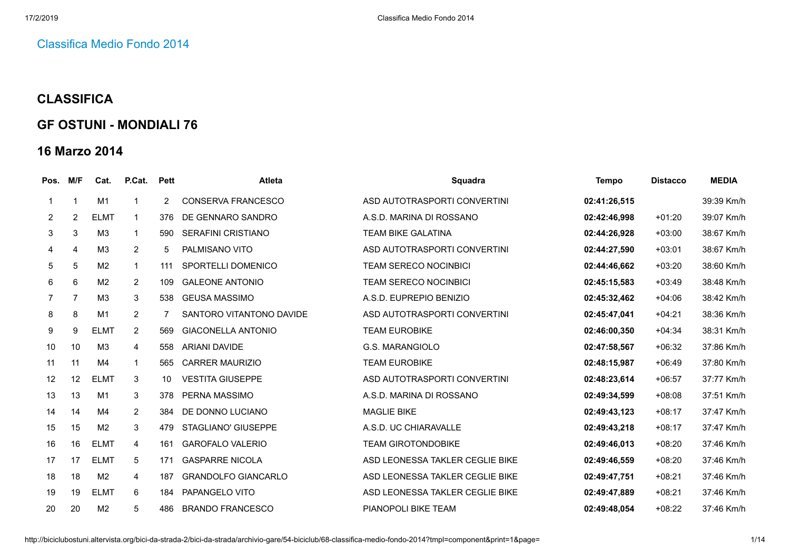## [Classifica](http://biciclubostuni.altervista.org/bici-da-strada-2/bici-da-strada/archivio-gare/54-biciclub/68-classifica-medio-fondo-2014) Medio Fondo 2014

## **CLASSIFICA**

## **GF OSTUNI - MONDIALI 76**

## **16 Marzo 2014**

| Pos.           | M/F            | Cat.           | P.Cat.         | <b>Pett</b>    | <b>Atleta</b>              | <b>Squadra</b>                  | <b>Tempo</b> | <b>Distacco</b> | <b>MEDIA</b> |
|----------------|----------------|----------------|----------------|----------------|----------------------------|---------------------------------|--------------|-----------------|--------------|
|                | $\overline{1}$ | M1             | 1              | $\overline{2}$ | <b>CONSERVA FRANCESCO</b>  | ASD AUTOTRASPORTI CONVERTINI    | 02:41:26,515 |                 | 39:39 Km/h   |
| $\overline{2}$ | 2              | <b>ELMT</b>    | $\mathbf 1$    | 376            | DE GENNARO SANDRO          | A.S.D. MARINA DI ROSSANO        | 02:42:46.998 | $+01:20$        | 39:07 Km/h   |
| 3              | 3              | M <sub>3</sub> | $\mathbf{1}$   | 590            | <b>SERAFINI CRISTIANO</b>  | <b>TEAM BIKE GALATINA</b>       | 02:44:26,928 | $+03:00$        | 38:67 Km/h   |
| 4              | $\overline{4}$ | M <sub>3</sub> | $\overline{2}$ | 5              | PALMISANO VITO             | ASD AUTOTRASPORTI CONVERTINI    | 02:44:27,590 | $+03:01$        | 38:67 Km/h   |
| 5              | $\sqrt{5}$     | M <sub>2</sub> | $\mathbf{1}$   | 111            | SPORTELLI DOMENICO         | <b>TEAM SERECO NOCINBICI</b>    | 02:44:46,662 | $+03:20$        | 38:60 Km/h   |
| 6              | 6              | M <sub>2</sub> | $\overline{2}$ | 109            | <b>GALEONE ANTONIO</b>     | <b>TEAM SERECO NOCINBICI</b>    | 02:45:15,583 | $+03:49$        | 38:48 Km/h   |
| $\overline{7}$ | $\overline{7}$ | M <sub>3</sub> | 3              | 538            | <b>GEUSA MASSIMO</b>       | A.S.D. EUPREPIO BENIZIO         | 02:45:32.462 | $+04:06$        | 38:42 Km/h   |
| 8              | 8              | M1             | $\overline{2}$ | 7              | SANTORO VITANTONO DAVIDE   | ASD AUTOTRASPORTI CONVERTINI    | 02:45:47,041 | $+04:21$        | 38:36 Km/h   |
| 9              | 9              | <b>ELMT</b>    | $\overline{2}$ | 569            | <b>GIACONELLA ANTONIO</b>  | <b>TEAM EUROBIKE</b>            | 02:46:00.350 | $+04:34$        | 38:31 Km/h   |
| 10             | 10             | M3             | 4              | 558            | <b>ARIANI DAVIDE</b>       | G.S. MARANGIOLO                 | 02:47:58,567 | $+06:32$        | 37:86 Km/h   |
| 11             | 11             | M4             | $\mathbf{1}$   | 565            | <b>CARRER MAURIZIO</b>     | <b>TEAM EUROBIKE</b>            | 02:48:15,987 | $+06:49$        | 37:80 Km/h   |
| 12             | 12             | <b>ELMT</b>    | 3              | 10             | <b>VESTITA GIUSEPPE</b>    | ASD AUTOTRASPORTI CONVERTINI    | 02:48:23,614 | $+06:57$        | 37:77 Km/h   |
| 13             | 13             | M1             | 3              | 378            | PERNA MASSIMO              | A.S.D. MARINA DI ROSSANO        | 02:49:34.599 | $+08:08$        | 37:51 Km/h   |
| 14             | 14             | M4             | $\overline{2}$ | 384            | DE DONNO LUCIANO           | <b>MAGLIE BIKE</b>              | 02:49:43.123 | $+08:17$        | 37:47 Km/h   |
| 15             | 15             | M <sub>2</sub> | 3              | 479            | STAGLIANO' GIUSEPPE        | A.S.D. UC CHIARAVALLE           | 02:49:43,218 | $+08:17$        | 37:47 Km/h   |
| 16             | 16             | <b>ELMT</b>    | 4              | 161            | <b>GAROFALO VALERIO</b>    | <b>TEAM GIROTONDOBIKE</b>       | 02:49:46,013 | $+08:20$        | 37:46 Km/h   |
| 17             | 17             | <b>ELMT</b>    | 5              | 171            | <b>GASPARRE NICOLA</b>     | ASD LEONESSA TAKLER CEGLIE BIKE | 02:49:46,559 | $+08:20$        | 37:46 Km/h   |
| 18             | 18             | M <sub>2</sub> | 4              | 187            | <b>GRANDOLFO GIANCARLO</b> | ASD LEONESSA TAKLER CEGLIE BIKE | 02:49:47,751 | $+08:21$        | 37:46 Km/h   |
| 19             | 19             | <b>ELMT</b>    | 6              | 184            | PAPANGELO VITO             | ASD LEONESSA TAKLER CEGLIE BIKE | 02:49:47,889 | $+08:21$        | 37:46 Km/h   |
| 20             | 20             | M <sub>2</sub> | 5              | 486            | <b>BRANDO FRANCESCO</b>    | PIANOPOLI BIKE TEAM             | 02:49:48.054 | $+08:22$        | 37:46 Km/h   |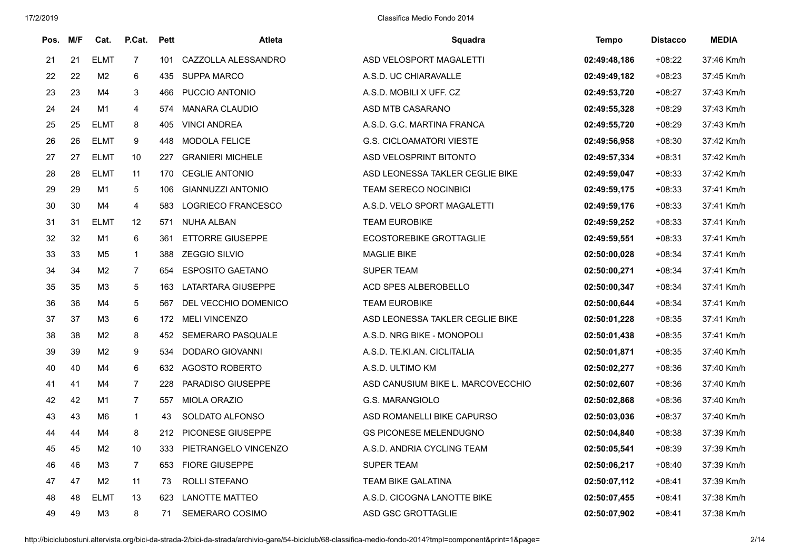| Pos. | M/F | Cat.           | P.Cat.         | <b>Pett</b> | <b>Atleta</b>            | Squadra                           | Tempo        | <b>Distacco</b> | <b>MEDIA</b> |
|------|-----|----------------|----------------|-------------|--------------------------|-----------------------------------|--------------|-----------------|--------------|
| 21   | 21  | <b>ELMT</b>    | $\overline{7}$ | 101         | CAZZOLLA ALESSANDRO      | ASD VELOSPORT MAGALETTI           | 02:49:48,186 | $+08:22$        | 37:46 Km/h   |
| 22   | 22  | M <sub>2</sub> | 6              | 435         | <b>SUPPA MARCO</b>       | A.S.D. UC CHIARAVALLE             | 02:49:49,182 | $+08:23$        | 37:45 Km/h   |
| 23   | 23  | M4             | 3              | 466         | PUCCIO ANTONIO           | A.S.D. MOBILI X UFF. CZ           | 02:49:53,720 | $+08:27$        | 37:43 Km/h   |
| 24   | 24  | M1             | 4              | 574         | MANARA CLAUDIO           | ASD MTB CASARANO                  | 02:49:55,328 | $+08:29$        | 37:43 Km/h   |
| 25   | 25  | <b>ELMT</b>    | 8              | 405         | <b>VINCI ANDREA</b>      | A.S.D. G.C. MARTINA FRANCA        | 02:49:55,720 | $+08:29$        | 37:43 Km/h   |
| 26   | 26  | ELMT           | 9              | 448         | <b>MODOLA FELICE</b>     | <b>G.S. CICLOAMATORI VIESTE</b>   | 02:49:56,958 | $+08:30$        | 37:42 Km/h   |
| 27   | 27  | <b>ELMT</b>    | 10             | 227         | <b>GRANIERI MICHELE</b>  | ASD VELOSPRINT BITONTO            | 02:49:57,334 | $+08:31$        | 37:42 Km/h   |
| 28   | 28  | <b>ELMT</b>    | 11             | 170         | <b>CEGLIE ANTONIO</b>    | ASD LEONESSA TAKLER CEGLIE BIKE   | 02:49:59,047 | $+08:33$        | 37:42 Km/h   |
| 29   | 29  | M1             | 5              | 106         | <b>GIANNUZZI ANTONIO</b> | TEAM SERECO NOCINBICI             | 02:49:59,175 | $+08:33$        | 37:41 Km/h   |
| 30   | 30  | M4             | 4              | 583         | LOGRIECO FRANCESCO       | A.S.D. VELO SPORT MAGALETTI       | 02:49:59,176 | $+08:33$        | 37:41 Km/h   |
| 31   | 31  | <b>ELMT</b>    | 12             | 571         | <b>NUHA ALBAN</b>        | <b>TEAM EUROBIKE</b>              | 02:49:59,252 | $+08:33$        | 37:41 Km/h   |
| 32   | 32  | M1             | 6              | 361         | <b>ETTORRE GIUSEPPE</b>  | <b>ECOSTOREBIKE GROTTAGLIE</b>    | 02:49:59,551 | $+08:33$        | 37:41 Km/h   |
| 33   | 33  | M <sub>5</sub> | $\mathbf{1}$   | 388         | <b>ZEGGIO SILVIO</b>     | <b>MAGLIE BIKE</b>                | 02:50:00,028 | $+08:34$        | 37:41 Km/h   |
| 34   | 34  | M <sub>2</sub> | $\overline{7}$ | 654         | <b>ESPOSITO GAETANO</b>  | <b>SUPER TEAM</b>                 | 02:50:00,271 | $+08:34$        | 37:41 Km/h   |
| 35   | 35  | M <sub>3</sub> | 5              | 163         | LATARTARA GIUSEPPE       | ACD SPES ALBEROBELLO              | 02:50:00,347 | $+08:34$        | 37:41 Km/h   |
| 36   | 36  | M4             | 5              | 567         | DEL VECCHIO DOMENICO     | <b>TEAM EUROBIKE</b>              | 02:50:00,644 | $+08:34$        | 37:41 Km/h   |
| 37   | 37  | M3             | 6              | 172         | <b>MELI VINCENZO</b>     | ASD LEONESSA TAKLER CEGLIE BIKE   | 02:50:01,228 | $+08:35$        | 37:41 Km/h   |
| 38   | 38  | M <sub>2</sub> | 8              | 452         | <b>SEMERARO PASQUALE</b> | A.S.D. NRG BIKE - MONOPOLI        | 02:50:01,438 | $+08:35$        | 37:41 Km/h   |
| 39   | 39  | M <sub>2</sub> | 9              | 534         | DODARO GIOVANNI          | A.S.D. TE.KI.AN. CICLITALIA       | 02:50:01,871 | $+08:35$        | 37:40 Km/h   |
| 40   | 40  | M4             | 6              | 632         | <b>AGOSTO ROBERTO</b>    | A.S.D. ULTIMO KM                  | 02:50:02,277 | $+08:36$        | 37:40 Km/h   |
| 41   | 41  | M4             | $\overline{7}$ | 228         | PARADISO GIUSEPPE        | ASD CANUSIUM BIKE L. MARCOVECCHIO | 02:50:02,607 | $+08:36$        | 37:40 Km/h   |
| 42   | 42  | M1             | $\overline{7}$ | 557         | <b>MIOLA ORAZIO</b>      | G.S. MARANGIOLO                   | 02:50:02,868 | $+08:36$        | 37:40 Km/h   |
| 43   | 43  | M6             | $\mathbf{1}$   | 43          | SOLDATO ALFONSO          | ASD ROMANELLI BIKE CAPURSO        | 02:50:03,036 | $+08:37$        | 37:40 Km/h   |
| 44   | 44  | M4             | 8              | 212         | PICONESE GIUSEPPE        | <b>GS PICONESE MELENDUGNO</b>     | 02:50:04,840 | $+08:38$        | 37:39 Km/h   |
| 45   | 45  | M <sub>2</sub> | 10             | 333         | PIETRANGELO VINCENZO     | A.S.D. ANDRIA CYCLING TEAM        | 02:50:05,541 | $+08:39$        | 37:39 Km/h   |
| 46   | 46  | M <sub>3</sub> | $\overline{7}$ | 653         | <b>FIORE GIUSEPPE</b>    | SUPER TEAM                        | 02:50:06,217 | $+08:40$        | 37:39 Km/h   |
| 47   | 47  | M <sub>2</sub> | 11             | 73          | ROLLI STEFANO            | <b>TEAM BIKE GALATINA</b>         | 02:50:07,112 | $+08:41$        | 37:39 Km/h   |
| 48   | 48  | <b>ELMT</b>    | 13             | 623         | <b>LANOTTE MATTEO</b>    | A.S.D. CICOGNA LANOTTE BIKE       | 02:50:07,455 | $+08:41$        | 37:38 Km/h   |
| 49   | 49  | M <sub>3</sub> | 8              | 71          | SEMERARO COSIMO          | ASD GSC GROTTAGLIE                | 02:50:07,902 | +08:41          | 37:38 Km/h   |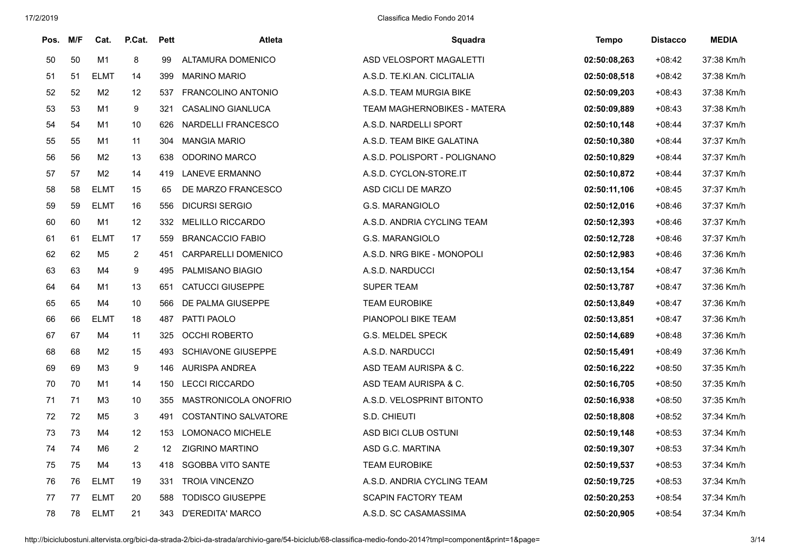| Pos. | M/F | Cat.           | P.Cat.         | <b>Pett</b> | Atleta                      | Squadra                      | Tempo        | <b>Distacco</b> | <b>MEDIA</b> |
|------|-----|----------------|----------------|-------------|-----------------------------|------------------------------|--------------|-----------------|--------------|
| 50   | 50  | M1             | 8              | 99          | ALTAMURA DOMENICO           | ASD VELOSPORT MAGALETTI      | 02:50:08,263 | $+08:42$        | 37:38 Km/h   |
| 51   | 51  | <b>ELMT</b>    | 14             | 399         | <b>MARINO MARIO</b>         | A.S.D. TE.KI.AN. CICLITALIA  | 02:50:08,518 | $+08:42$        | 37:38 Km/h   |
| 52   | 52  | M <sub>2</sub> | 12             | 537         | FRANCOLINO ANTONIO          | A.S.D. TEAM MURGIA BIKE      | 02:50:09,203 | $+08:43$        | 37:38 Km/h   |
| 53   | 53  | M1             | 9              | 321         | CASALINO GIANLUCA           | TEAM MAGHERNOBIKES - MATERA  | 02:50:09,889 | $+08:43$        | 37:38 Km/h   |
| 54   | 54  | M <sub>1</sub> | 10             | 626         | <b>NARDELLI FRANCESCO</b>   | A.S.D. NARDELLI SPORT        | 02:50:10,148 | $+08:44$        | 37:37 Km/h   |
| 55   | 55  | M1             | 11             | 304         | <b>MANGIA MARIO</b>         | A.S.D. TEAM BIKE GALATINA    | 02:50:10,380 | $+08:44$        | 37:37 Km/h   |
| 56   | 56  | M <sub>2</sub> | 13             | 638         | ODORINO MARCO               | A.S.D. POLISPORT - POLIGNANO | 02:50:10,829 | $+08:44$        | 37:37 Km/h   |
| 57   | 57  | M <sub>2</sub> | 14             | 419         | LANEVE ERMANNO              | A.S.D. CYCLON-STORE.IT       | 02:50:10,872 | $+08:44$        | 37:37 Km/h   |
| 58   | 58  | <b>ELMT</b>    | 15             | 65          | DE MARZO FRANCESCO          | ASD CICLI DE MARZO           | 02:50:11,106 | $+08:45$        | 37:37 Km/h   |
| 59   | 59  | <b>ELMT</b>    | 16             | 556         | <b>DICURSI SERGIO</b>       | <b>G.S. MARANGIOLO</b>       | 02:50:12,016 | $+08:46$        | 37:37 Km/h   |
| 60   | 60  | M1             | 12             | 332         | <b>MELILLO RICCARDO</b>     | A.S.D. ANDRIA CYCLING TEAM   | 02:50:12,393 | $+08:46$        | 37:37 Km/h   |
| 61   | 61  | <b>ELMT</b>    | 17             | 559         | <b>BRANCACCIO FABIO</b>     | <b>G.S. MARANGIOLO</b>       | 02:50:12,728 | $+08:46$        | 37:37 Km/h   |
| 62   | 62  | M <sub>5</sub> | $\overline{2}$ | 451         | CARPARELLI DOMENICO         | A.S.D. NRG BIKE - MONOPOLI   | 02:50:12,983 | $+08:46$        | 37:36 Km/h   |
| 63   | 63  | M4             | 9              | 495         | PALMISANO BIAGIO            | A.S.D. NARDUCCI              | 02:50:13,154 | $+08:47$        | 37:36 Km/h   |
| 64   | 64  | M1             | 13             | 651         | <b>CATUCCI GIUSEPPE</b>     | <b>SUPER TEAM</b>            | 02:50:13,787 | $+08:47$        | 37:36 Km/h   |
| 65   | 65  | M4             | 10             | 566         | DE PALMA GIUSEPPE           | <b>TEAM EUROBIKE</b>         | 02:50:13,849 | $+08:47$        | 37:36 Km/h   |
| 66   | 66  | <b>ELMT</b>    | 18             | 487         | PATTI PAOLO                 | PIANOPOLI BIKE TEAM          | 02:50:13,851 | $+08:47$        | 37:36 Km/h   |
| 67   | 67  | M4             | 11             | 325         | <b>OCCHI ROBERTO</b>        | <b>G.S. MELDEL SPECK</b>     | 02:50:14,689 | $+08:48$        | 37:36 Km/h   |
| 68   | 68  | M <sub>2</sub> | 15             | 493         | <b>SCHIAVONE GIUSEPPE</b>   | A.S.D. NARDUCCI              | 02:50:15,491 | $+08:49$        | 37:36 Km/h   |
| 69   | 69  | M3             | 9              | 146         | AURISPA ANDREA              | ASD TEAM AURISPA & C.        | 02:50:16,222 | $+08:50$        | 37:35 Km/h   |
| 70   | 70  | M1             | 14             | 150         | <b>LECCI RICCARDO</b>       | ASD TEAM AURISPA & C.        | 02:50:16,705 | $+08:50$        | 37:35 Km/h   |
| 71   | 71  | M <sub>3</sub> | 10             | 355         | MASTRONICOLA ONOFRIO        | A.S.D. VELOSPRINT BITONTO    | 02:50:16,938 | $+08:50$        | 37:35 Km/h   |
| 72   | 72  | M <sub>5</sub> | $\mathbf{3}$   | 491         | <b>COSTANTINO SALVATORE</b> | S.D. CHIEUTI                 | 02:50:18,808 | $+08:52$        | 37:34 Km/h   |
| 73   | 73  | M4             | 12             | 153         | LOMONACO MICHELE            | ASD BICI CLUB OSTUNI         | 02:50:19,148 | $+08:53$        | 37:34 Km/h   |
| 74   | 74  | M6             | $\overline{2}$ | 12          | <b>ZIGRINO MARTINO</b>      | ASD G.C. MARTINA             | 02:50:19,307 | $+08:53$        | 37:34 Km/h   |
| 75   | 75  | M4             | 13             | 418         | <b>SGOBBA VITO SANTE</b>    | <b>TEAM EUROBIKE</b>         | 02:50:19,537 | $+08:53$        | 37:34 Km/h   |
| 76   | 76  | <b>ELMT</b>    | 19             | 331         | <b>TROIA VINCENZO</b>       | A.S.D. ANDRIA CYCLING TEAM   | 02:50:19,725 | $+08:53$        | 37:34 Km/h   |
| 77   | 77  | <b>ELMT</b>    | 20             | 588         | <b>TODISCO GIUSEPPE</b>     | <b>SCAPIN FACTORY TEAM</b>   | 02:50:20,253 | $+08:54$        | 37:34 Km/h   |
| 78   | 78  | <b>ELMT</b>    | 21             | 343         | <b>D'EREDITA' MARCO</b>     | A.S.D. SC CASAMASSIMA        | 02:50:20,905 | $+08:54$        | 37:34 Km/h   |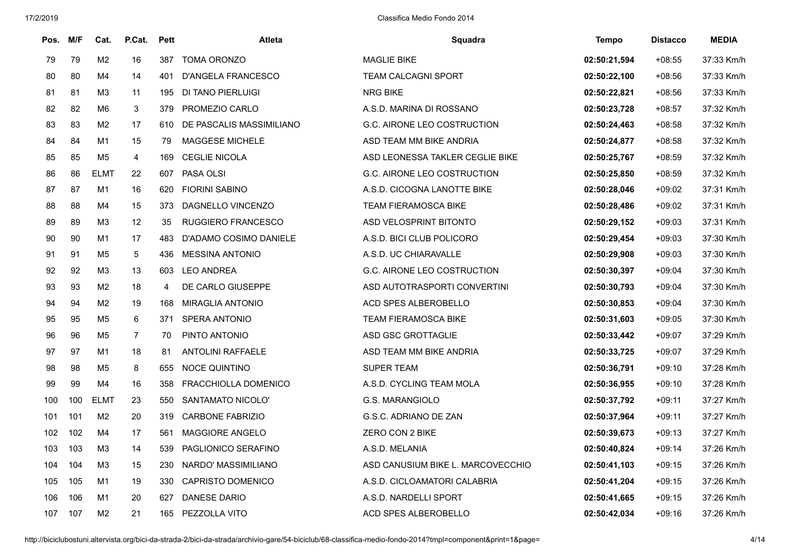| Pos. | M/F | Cat.           | P.Cat.            | <b>Pett</b> | Atleta                    | Squadra                           | <b>Tempo</b> | <b>Distacco</b> | <b>MEDIA</b> |
|------|-----|----------------|-------------------|-------------|---------------------------|-----------------------------------|--------------|-----------------|--------------|
| 79   | 79  | M <sub>2</sub> | 16                | 387         | <b>TOMA ORONZO</b>        | MAGLIE BIKE                       | 02:50:21,594 | $+08:55$        | 37:33 Km/h   |
| 80   | 80  | M4             | 14                | 401         | <b>D'ANGELA FRANCESCO</b> | <b>TEAM CALCAGNI SPORT</b>        | 02:50:22,100 | $+08:56$        | 37:33 Km/h   |
| 81   | 81  | M <sub>3</sub> | 11                | 195         | DI TANO PIERLUIGI         | <b>NRG BIKE</b>                   | 02:50:22,821 | $+08:56$        | 37:33 Km/h   |
| 82   | 82  | M <sub>6</sub> | 3                 | 379         | PROMEZIO CARLO            | A.S.D. MARINA DI ROSSANO          | 02:50:23,728 | $+08:57$        | 37:32 Km/h   |
| 83   | 83  | M <sub>2</sub> | 17                | 610         | DE PASCALIS MASSIMILIANO  | G.C. AIRONE LEO COSTRUCTION       | 02:50:24,463 | $+08:58$        | 37:32 Km/h   |
| 84   | 84  | M1             | 15                | 79          | MAGGESE MICHELE           | ASD TEAM MM BIKE ANDRIA           | 02:50:24,877 | $+08:58$        | 37:32 Km/h   |
| 85   | 85  | M5             | 4                 | 169         | <b>CEGLIE NICOLA</b>      | ASD LEONESSA TAKLER CEGLIE BIKE   | 02:50:25,767 | $+08:59$        | 37:32 Km/h   |
| 86   | 86  | <b>ELMT</b>    | 22                | 607         | <b>PASA OLSI</b>          | G.C. AIRONE LEO COSTRUCTION       | 02:50:25,850 | $+08:59$        | 37:32 Km/h   |
| 87   | 87  | M1             | 16                | 620         | <b>FIORINI SABINO</b>     | A.S.D. CICOGNA LANOTTE BIKE       | 02:50:28,046 | $+09:02$        | 37:31 Km/h   |
| 88   | 88  | M4             | 15                | 373         | DAGNELLO VINCENZO         | <b>TEAM FIERAMOSCA BIKE</b>       | 02:50:28,486 | $+09:02$        | 37:31 Km/h   |
| 89   | 89  | M <sub>3</sub> | $12 \overline{ }$ | 35          | <b>RUGGIERO FRANCESCO</b> | ASD VELOSPRINT BITONTO            | 02:50:29,152 | $+09:03$        | 37:31 Km/h   |
| 90   | 90  | M1             | 17                | 483         | D'ADAMO COSIMO DANIELE    | A.S.D. BICI CLUB POLICORO         | 02:50:29,454 | $+09:03$        | 37:30 Km/h   |
| 91   | 91  | M <sub>5</sub> | 5                 | 436         | <b>MESSINA ANTONIO</b>    | A.S.D. UC CHIARAVALLE             | 02:50:29,908 | $+09:03$        | 37:30 Km/h   |
| 92   | 92  | M <sub>3</sub> | 13                | 603         | <b>LEO ANDREA</b>         | G.C. AIRONE LEO COSTRUCTION       | 02:50:30,397 | $+09:04$        | 37:30 Km/h   |
| 93   | 93  | M <sub>2</sub> | 18                | 4           | DE CARLO GIUSEPPE         | ASD AUTOTRASPORTI CONVERTINI      | 02:50:30,793 | $+09:04$        | 37:30 Km/h   |
| 94   | 94  | M <sub>2</sub> | 19                | 168         | <b>MIRAGLIA ANTONIO</b>   | ACD SPES ALBEROBELLO              | 02:50:30.853 | $+09:04$        | 37:30 Km/h   |
| 95   | 95  | M5             | 6                 | 371         | <b>SPERA ANTONIO</b>      | <b>TEAM FIERAMOSCA BIKE</b>       | 02:50:31,603 | $+09:05$        | 37:30 Km/h   |
| 96   | 96  | M <sub>5</sub> | $\overline{7}$    | 70          | PINTO ANTONIO             | ASD GSC GROTTAGLIE                | 02:50:33,442 | $+09:07$        | 37:29 Km/h   |
| 97   | 97  | M1             | 18                | 81          | <b>ANTOLINI RAFFAELE</b>  | ASD TEAM MM BIKE ANDRIA           | 02:50:33,725 | $+09:07$        | 37:29 Km/h   |
| 98   | 98  | M5             | 8                 | 655         | <b>NOCE QUINTINO</b>      | <b>SUPER TEAM</b>                 | 02:50:36.791 | $+09:10$        | 37:28 Km/h   |
| 99   | 99  | M4             | 16                | 358         | FRACCHIOLLA DOMENICO      | A.S.D. CYCLING TEAM MOLA          | 02:50:36.955 | $+09:10$        | 37:28 Km/h   |
| 100  | 100 | <b>ELMT</b>    | 23                | 550         | SANTAMATO NICOLO'         | G.S. MARANGIOLO                   | 02:50:37,792 | $+09:11$        | 37:27 Km/h   |
| 101  | 101 | M <sub>2</sub> | 20                | 319         | CARBONE FABRIZIO          | G.S.C. ADRIANO DE ZAN             | 02:50:37,964 | $+09:11$        | 37:27 Km/h   |
| 102  | 102 | M4             | 17                | 561         | <b>MAGGIORE ANGELO</b>    | ZERO CON 2 BIKE                   | 02:50:39.673 | $+09:13$        | 37:27 Km/h   |
| 103  | 103 | M3             | 14                | 539         | PAGLIONICO SERAFINO       | A.S.D. MELANIA                    | 02:50:40,824 | $+09:14$        | 37:26 Km/h   |
| 104  | 104 | M3             | 15                | 230         | NARDO' MASSIMILIANO       | ASD CANUSIUM BIKE L. MARCOVECCHIO | 02:50:41,103 | $+09:15$        | 37:26 Km/h   |
| 105  | 105 | M1             | 19                | 330         | <b>CAPRISTO DOMENICO</b>  | A.S.D. CICLOAMATORI CALABRIA      | 02:50:41,204 | $+09:15$        | 37:26 Km/h   |
| 106  | 106 | M1             | 20                | 627         | <b>DANESE DARIO</b>       | A.S.D. NARDELLI SPORT             | 02:50:41,665 | $+09:15$        | 37:26 Km/h   |
| 107  | 107 | M <sub>2</sub> | 21                | 165         | PEZZOLLA VITO             | ACD SPES ALBEROBELLO              | 02:50:42,034 | $+09:16$        | 37:26 Km/h   |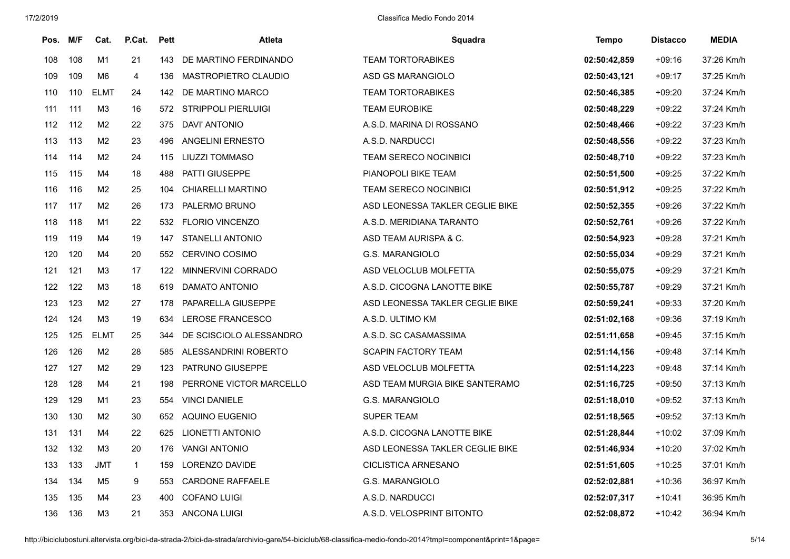| Pos. | M/F | Cat.           | P.Cat.       | <b>Pett</b> | Atleta                   | Squadra                         | <b>Tempo</b> | <b>Distacco</b> | <b>MEDIA</b> |
|------|-----|----------------|--------------|-------------|--------------------------|---------------------------------|--------------|-----------------|--------------|
| 108  | 108 | M1             | 21           | 143         | DE MARTINO FERDINANDO    | <b>TEAM TORTORABIKES</b>        | 02:50:42,859 | $+09:16$        | 37:26 Km/h   |
| 109  | 109 | M <sub>6</sub> | 4            | 136         | MASTROPIETRO CLAUDIO     | ASD GS MARANGIOLO               | 02:50:43,121 | $+09:17$        | 37:25 Km/h   |
| 110  | 110 | <b>ELMT</b>    | 24           | 142         | DE MARTINO MARCO         | <b>TEAM TORTORABIKES</b>        | 02:50:46,385 | $+09:20$        | 37:24 Km/h   |
| 111  | 111 | M <sub>3</sub> | 16           |             | 572 STRIPPOLI PIERLUIGI  | <b>TEAM EUROBIKE</b>            | 02:50:48,229 | $+09:22$        | 37:24 Km/h   |
| 112  | 112 | M <sub>2</sub> | 22           | 375         | <b>DAVI' ANTONIO</b>     | A.S.D. MARINA DI ROSSANO        | 02:50:48,466 | $+09:22$        | 37:23 Km/h   |
| 113  | 113 | M <sub>2</sub> | 23           | 496         | <b>ANGELINI ERNESTO</b>  | A.S.D. NARDUCCI                 | 02:50:48,556 | $+09:22$        | 37:23 Km/h   |
| 114  | 114 | M <sub>2</sub> | 24           | 115         | <b>LIUZZI TOMMASO</b>    | <b>TEAM SERECO NOCINBICI</b>    | 02:50:48,710 | $+09:22$        | 37:23 Km/h   |
| 115  | 115 | M4             | 18           | 488         | PATTI GIUSEPPE           | PIANOPOLI BIKE TEAM             | 02:50:51,500 | $+09:25$        | 37:22 Km/h   |
| 116  | 116 | M <sub>2</sub> | 25           | 104         | <b>CHIARELLI MARTINO</b> | TEAM SERECO NOCINBICI           | 02:50:51,912 | $+09:25$        | 37:22 Km/h   |
| 117  | 117 | M <sub>2</sub> | 26           | 173         | PALERMO BRUNO            | ASD LEONESSA TAKLER CEGLIE BIKE | 02:50:52,355 | $+09:26$        | 37:22 Km/h   |
| 118  | 118 | M1             | 22           | 532         | <b>FLORIO VINCENZO</b>   | A.S.D. MERIDIANA TARANTO        | 02:50:52,761 | $+09:26$        | 37:22 Km/h   |
| 119  | 119 | M4             | 19           | 147         | <b>STANELLI ANTONIO</b>  | ASD TEAM AURISPA & C.           | 02:50:54,923 | $+09:28$        | 37:21 Km/h   |
| 120  | 120 | M4             | 20           | 552         | <b>CERVINO COSIMO</b>    | G.S. MARANGIOLO                 | 02:50:55,034 | $+09:29$        | 37:21 Km/h   |
| 121  | 121 | M <sub>3</sub> | 17           | 122         | MINNERVINI CORRADO       | ASD VELOCLUB MOLFETTA           | 02:50:55,075 | $+09:29$        | 37:21 Km/h   |
| 122  | 122 | M <sub>3</sub> | 18           | 619         | DAMATO ANTONIO           | A.S.D. CICOGNA LANOTTE BIKE     | 02:50:55,787 | $+09:29$        | 37:21 Km/h   |
| 123  | 123 | M <sub>2</sub> | 27           | 178         | PAPARELLA GIUSEPPE       | ASD LEONESSA TAKLER CEGLIE BIKE | 02:50:59,241 | $+09:33$        | 37:20 Km/h   |
| 124  | 124 | M3             | 19           | 634         | LEROSE FRANCESCO         | A.S.D. ULTIMO KM                | 02:51:02,168 | $+09:36$        | 37:19 Km/h   |
| 125  | 125 | <b>ELMT</b>    | 25           | 344         | DE SCISCIOLO ALESSANDRO  | A.S.D. SC CASAMASSIMA           | 02:51:11,658 | $+09:45$        | 37:15 Km/h   |
| 126  | 126 | M <sub>2</sub> | 28           | 585         | ALESSANDRINI ROBERTO     | <b>SCAPIN FACTORY TEAM</b>      | 02:51:14,156 | $+09:48$        | 37:14 Km/h   |
| 127  | 127 | M <sub>2</sub> | 29           | 123         | PATRUNO GIUSEPPE         | ASD VELOCLUB MOLFETTA           | 02:51:14,223 | $+09:48$        | 37:14 Km/h   |
| 128  | 128 | M4             | 21           | 198         | PERRONE VICTOR MARCELLO  | ASD TEAM MURGIA BIKE SANTERAMO  | 02:51:16,725 | $+09:50$        | 37:13 Km/h   |
| 129  | 129 | M1             | 23           | 554         | <b>VINCI DANIELE</b>     | G.S. MARANGIOLO                 | 02:51:18,010 | $+09:52$        | 37:13 Km/h   |
| 130  | 130 | M <sub>2</sub> | 30           | 652         | <b>AQUINO EUGENIO</b>    | <b>SUPER TEAM</b>               | 02:51:18,565 | $+09:52$        | 37:13 Km/h   |
| 131  | 131 | M4             | 22           | 625         | LIONETTI ANTONIO         | A.S.D. CICOGNA LANOTTE BIKE     | 02:51:28,844 | $+10:02$        | 37:09 Km/h   |
| 132  | 132 | M <sub>3</sub> | 20           | 176         | <b>VANGI ANTONIO</b>     | ASD LEONESSA TAKLER CEGLIE BIKE | 02:51:46,934 | $+10:20$        | 37:02 Km/h   |
| 133  | 133 | <b>JMT</b>     | $\mathbf{1}$ | 159         | LORENZO DAVIDE           | CICLISTICA ARNESANO             | 02:51:51,605 | $+10:25$        | 37:01 Km/h   |
| 134  | 134 | M <sub>5</sub> | 9            | 553         | <b>CARDONE RAFFAELE</b>  | G.S. MARANGIOLO                 | 02:52:02,881 | $+10:36$        | 36:97 Km/h   |
| 135  | 135 | M4             | 23           | 400         | <b>COFANO LUIGI</b>      | A.S.D. NARDUCCI                 | 02:52:07,317 | $+10:41$        | 36:95 Km/h   |
| 136  | 136 | M <sub>3</sub> | 21           | 353         | <b>ANCONA LUIGI</b>      | A.S.D. VELOSPRINT BITONTO       | 02:52:08,872 | $+10:42$        | 36:94 Km/h   |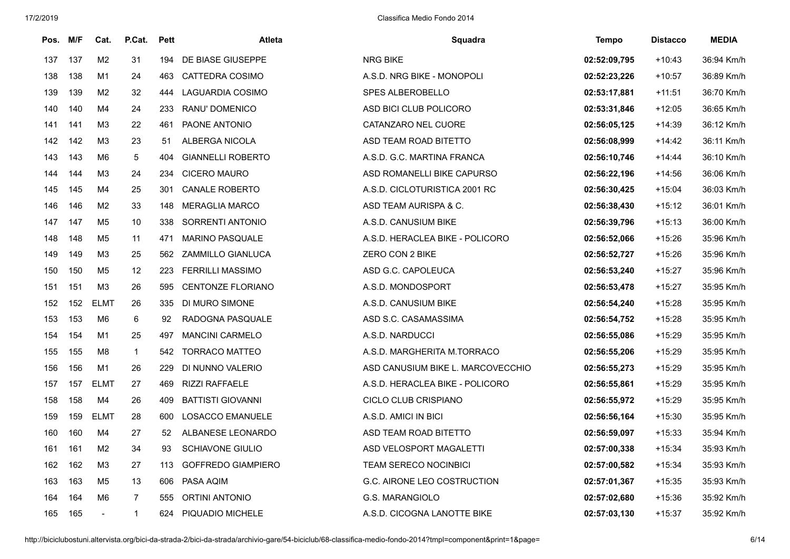| Pos. M/F |     | Cat.           | P.Cat.            | <b>Pett</b> | <b>Atleta</b>             | Squadra                           | <b>Tempo</b> | <b>Distacco</b> | <b>MEDIA</b> |
|----------|-----|----------------|-------------------|-------------|---------------------------|-----------------------------------|--------------|-----------------|--------------|
| 137      | 137 | M <sub>2</sub> | 31                | 194         | DE BIASE GIUSEPPE         | NRG BIKE                          | 02:52:09,795 | $+10:43$        | 36:94 Km/h   |
| 138      | 138 | M1             | 24                | 463         | CATTEDRA COSIMO           | A.S.D. NRG BIKE - MONOPOLI        | 02:52:23,226 | $+10:57$        | 36:89 Km/h   |
| 139      | 139 | M2             | 32                | 444         | LAGUARDIA COSIMO          | SPES ALBEROBELLO                  | 02:53:17,881 | $+11:51$        | 36:70 Km/h   |
| 140      | 140 | M4             | 24                | 233         | RANU' DOMENICO            | ASD BICI CLUB POLICORO            | 02:53:31,846 | $+12:05$        | 36:65 Km/h   |
| 141      | 141 | ΜЗ             | 22                | 461         | PAONE ANTONIO             | CATANZARO NEL CUORE               | 02:56:05.125 | $+14:39$        | 36:12 Km/h   |
| 142      | 142 | M <sub>3</sub> | 23                | 51          | ALBERGA NICOLA            | ASD TEAM ROAD BITETTO             | 02:56:08,999 | $+14:42$        | 36:11 Km/h   |
| 143      | 143 | M6             | $5\phantom{.0}$   | 404         | <b>GIANNELLI ROBERTO</b>  | A.S.D. G.C. MARTINA FRANCA        | 02:56:10,746 | $+14:44$        | 36:10 Km/h   |
| 144      | 144 | M <sub>3</sub> | 24                | 234         | <b>CICERO MAURO</b>       | ASD ROMANELLI BIKE CAPURSO        | 02:56:22,196 | $+14:56$        | 36:06 Km/h   |
| 145      | 145 | M4             | 25                | 301         | <b>CANALE ROBERTO</b>     | A.S.D. CICLOTURISTICA 2001 RC     | 02:56:30,425 | $+15:04$        | 36:03 Km/h   |
| 146      | 146 | M <sub>2</sub> | 33                | 148         | <b>MERAGLIA MARCO</b>     | ASD TEAM AURISPA & C.             | 02:56:38,430 | $+15:12$        | 36:01 Km/h   |
| 147      | 147 | M5             | 10                | 338         | SORRENTI ANTONIO          | A.S.D. CANUSIUM BIKE              | 02:56:39,796 | $+15:13$        | 36:00 Km/h   |
| 148      | 148 | M5             | 11                | 471         | <b>MARINO PASQUALE</b>    | A.S.D. HERACLEA BIKE - POLICORO   | 02:56:52,066 | $+15:26$        | 35:96 Km/h   |
| 149      | 149 | ΜЗ             | 25                | 562         | ZAMMILLO GIANLUCA         | ZERO CON 2 BIKE                   | 02:56:52,727 | $+15:26$        | 35:96 Km/h   |
| 150      | 150 | M5             | $12 \overline{ }$ | 223         | <b>FERRILLI MASSIMO</b>   | ASD G.C. CAPOLEUCA                | 02:56:53,240 | $+15:27$        | 35:96 Km/h   |
| 151      | 151 | M3             | 26                | 595         | CENTONZE FLORIANO         | A.S.D. MONDOSPORT                 | 02:56:53,478 | $+15:27$        | 35:95 Km/h   |
| 152      | 152 | <b>ELMT</b>    | 26                | 335         | DI MURO SIMONE            | A.S.D. CANUSIUM BIKE              | 02:56:54,240 | $+15:28$        | 35:95 Km/h   |
| 153      | 153 | M6             | 6                 | 92          | RADOGNA PASQUALE          | ASD S.C. CASAMASSIMA              | 02:56:54,752 | $+15:28$        | 35:95 Km/h   |
| 154      | 154 | M1             | 25                | 497         | <b>MANCINI CARMELO</b>    | A.S.D. NARDUCCI                   | 02:56:55,086 | $+15:29$        | 35:95 Km/h   |
| 155      | 155 | M8             | $\mathbf{1}$      | 542         | <b>TORRACO MATTEO</b>     | A.S.D. MARGHERITA M.TORRACO       | 02:56:55,206 | $+15:29$        | 35:95 Km/h   |
| 156      | 156 | M1             | 26                | 229         | DI NUNNO VALERIO          | ASD CANUSIUM BIKE L. MARCOVECCHIO | 02:56:55,273 | $+15:29$        | 35:95 Km/h   |
| 157      | 157 | <b>ELMT</b>    | 27                | 469         | <b>RIZZI RAFFAELE</b>     | A.S.D. HERACLEA BIKE - POLICORO   | 02:56:55,861 | $+15:29$        | 35:95 Km/h   |
| 158      | 158 | M4             | 26                | 409         | <b>BATTISTI GIOVANNI</b>  | CICLO CLUB CRISPIANO              | 02:56:55,972 | $+15:29$        | 35:95 Km/h   |
| 159      | 159 | <b>ELMT</b>    | 28                | 600         | <b>LOSACCO EMANUELE</b>   | A.S.D. AMICI IN BICI              | 02:56:56.164 | $+15:30$        | 35:95 Km/h   |
| 160      | 160 | M4             | 27                | 52          | ALBANESE LEONARDO         | ASD TEAM ROAD BITETTO             | 02:56:59,097 | $+15:33$        | 35:94 Km/h   |
| 161      | 161 | M <sub>2</sub> | 34                | 93          | <b>SCHIAVONE GIULIO</b>   | ASD VELOSPORT MAGALETTI           | 02:57:00,338 | $+15:34$        | 35:93 Km/h   |
| 162      | 162 | M3             | 27                | 113         | <b>GOFFREDO GIAMPIERO</b> | <b>TEAM SERECO NOCINBICI</b>      | 02:57:00,582 | $+15:34$        | 35:93 Km/h   |
| 163      | 163 | M5             | 13                | 606         | PASA AQIM                 | G.C. AIRONE LEO COSTRUCTION       | 02:57:01,367 | $+15:35$        | 35:93 Km/h   |
| 164      | 164 | M6             | $\overline{7}$    | 555         | <b>ORTINI ANTONIO</b>     | G.S. MARANGIOLO                   | 02:57:02,680 | $+15:36$        | 35:92 Km/h   |
| 165      | 165 |                | $\mathbf{1}$      | 624         | PIQUADIO MICHELE          | A.S.D. CICOGNA LANOTTE BIKE       | 02:57:03,130 | $+15:37$        | 35:92 Km/h   |

http://biciclubostuni.altervista.org/bici-da-strada-2/bici-da-strada/archivio-gare/54-biciclub/68-classifica-medio-fondo-2014?tmpl=component&print=1&page= 6/14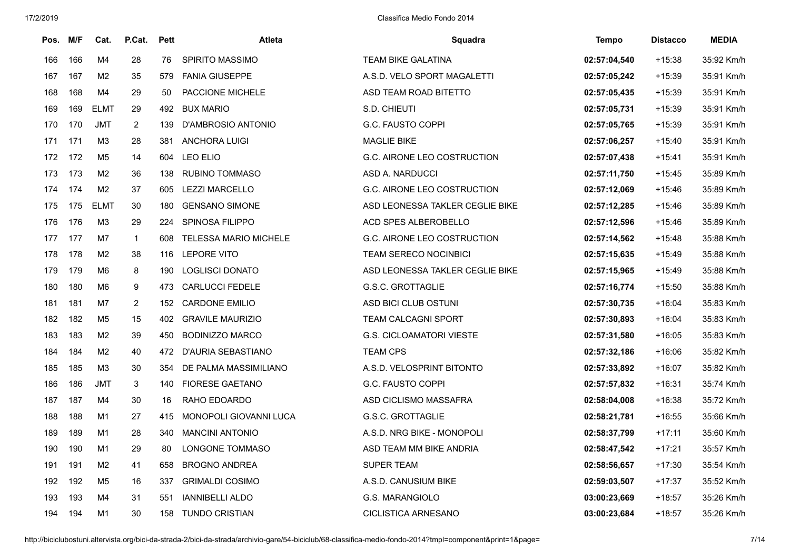| Pos. | M/F | Cat.           | P.Cat.         | <b>Pett</b> | <b>Atleta</b>                | Squadra                         | Tempo        | <b>Distacco</b> | <b>MEDIA</b> |
|------|-----|----------------|----------------|-------------|------------------------------|---------------------------------|--------------|-----------------|--------------|
| 166  | 166 | M <sub>4</sub> | 28             | 76          | <b>SPIRITO MASSIMO</b>       | <b>TEAM BIKE GALATINA</b>       | 02:57:04,540 | $+15:38$        | 35:92 Km/h   |
| 167  | 167 | M <sub>2</sub> | 35             | 579         | <b>FANIA GIUSEPPE</b>        | A.S.D. VELO SPORT MAGALETTI     | 02:57:05,242 | $+15:39$        | 35:91 Km/h   |
| 168  | 168 | M4             | 29             | 50          | PACCIONE MICHELE             | ASD TEAM ROAD BITETTO           | 02:57:05,435 | $+15:39$        | 35:91 Km/h   |
| 169  | 169 | <b>ELMT</b>    | 29             | 492         | <b>BUX MARIO</b>             | S.D. CHIEUTI                    | 02:57:05,731 | $+15:39$        | 35:91 Km/h   |
| 170  | 170 | <b>JMT</b>     | $\overline{2}$ | 139         | D'AMBROSIO ANTONIO           | G.C. FAUSTO COPPI               | 02:57:05,765 | $+15:39$        | 35:91 Km/h   |
| 171  | 171 | M <sub>3</sub> | 28             | 381         | <b>ANCHORA LUIGI</b>         | <b>MAGLIE BIKE</b>              | 02:57:06,257 | $+15:40$        | 35:91 Km/h   |
| 172  | 172 | M <sub>5</sub> | 14             | 604         | LEO ELIO                     | G.C. AIRONE LEO COSTRUCTION     | 02:57:07,438 | $+15:41$        | 35:91 Km/h   |
| 173  | 173 | M <sub>2</sub> | 36             | 138         | <b>RUBINO TOMMASO</b>        | ASD A. NARDUCCI                 | 02:57:11,750 | $+15:45$        | 35:89 Km/h   |
| 174  | 174 | M <sub>2</sub> | 37             | 605         | <b>LEZZI MARCELLO</b>        | G.C. AIRONE LEO COSTRUCTION     | 02:57:12,069 | $+15:46$        | 35:89 Km/h   |
| 175  | 175 | <b>ELMT</b>    | 30             | 180         | <b>GENSANO SIMONE</b>        | ASD LEONESSA TAKLER CEGLIE BIKE | 02:57:12,285 | $+15:46$        | 35:89 Km/h   |
| 176  | 176 | M <sub>3</sub> | 29             | 224         | <b>SPINOSA FILIPPO</b>       | ACD SPES ALBEROBELLO            | 02:57:12,596 | $+15:46$        | 35:89 Km/h   |
| 177  | 177 | M7             | $\mathbf{1}$   | 608         | <b>TELESSA MARIO MICHELE</b> | G.C. AIRONE LEO COSTRUCTION     | 02:57:14,562 | $+15:48$        | 35:88 Km/h   |
| 178  | 178 | M <sub>2</sub> | 38             | 116         | <b>LEPORE VITO</b>           | TEAM SERECO NOCINBICI           | 02:57:15,635 | $+15:49$        | 35:88 Km/h   |
| 179  | 179 | M6             | 8              | 190         | <b>LOGLISCI DONATO</b>       | ASD LEONESSA TAKLER CEGLIE BIKE | 02:57:15,965 | $+15:49$        | 35:88 Km/h   |
| 180  | 180 | M <sub>6</sub> | 9              | 473         | <b>CARLUCCI FEDELE</b>       | G.S.C. GROTTAGLIE               | 02:57:16,774 | $+15:50$        | 35:88 Km/h   |
| 181  | 181 | M7             | $\overline{2}$ | 152         | <b>CARDONE EMILIO</b>        | ASD BICI CLUB OSTUNI            | 02:57:30,735 | $+16:04$        | 35:83 Km/h   |
| 182  | 182 | M <sub>5</sub> | 15             | 402         | <b>GRAVILE MAURIZIO</b>      | TEAM CALCAGNI SPORT             | 02:57:30,893 | $+16:04$        | 35:83 Km/h   |
| 183  | 183 | M <sub>2</sub> | 39             | 450         | <b>BODINIZZO MARCO</b>       | <b>G.S. CICLOAMATORI VIESTE</b> | 02:57:31,580 | $+16:05$        | 35:83 Km/h   |
| 184  | 184 | M <sub>2</sub> | 40             | 472         | D'AURIA SEBASTIANO           | <b>TEAM CPS</b>                 | 02:57:32,186 | $+16:06$        | 35:82 Km/h   |
| 185  | 185 | M <sub>3</sub> | 30             | 354         | DE PALMA MASSIMILIANO        | A.S.D. VELOSPRINT BITONTO       | 02:57:33,892 | $+16:07$        | 35:82 Km/h   |
| 186  | 186 | <b>JMT</b>     | $\mathbf{3}$   | 140         | <b>FIORESE GAETANO</b>       | G.C. FAUSTO COPPI               | 02:57:57,832 | $+16:31$        | 35:74 Km/h   |
| 187  | 187 | M4             | 30             | 16          | RAHO EDOARDO                 | ASD CICLISMO MASSAFRA           | 02:58:04,008 | $+16:38$        | 35:72 Km/h   |
| 188  | 188 | M1             | 27             | 415         | MONOPOLI GIOVANNI LUCA       | <b>G.S.C. GROTTAGLIE</b>        | 02:58:21,781 | $+16:55$        | 35:66 Km/h   |
| 189  | 189 | M1             | 28             | 340         | <b>MANCINI ANTONIO</b>       | A.S.D. NRG BIKE - MONOPOLI      | 02:58:37,799 | $+17:11$        | 35:60 Km/h   |
| 190  | 190 | M <sub>1</sub> | 29             | 80          | LONGONE TOMMASO              | ASD TEAM MM BIKE ANDRIA         | 02:58:47,542 | $+17:21$        | 35:57 Km/h   |
| 191  | 191 | M <sub>2</sub> | 41             | 658         | <b>BROGNO ANDREA</b>         | SUPER TEAM                      | 02:58:56,657 | $+17:30$        | 35:54 Km/h   |
| 192  | 192 | M <sub>5</sub> | 16             | 337         | <b>GRIMALDI COSIMO</b>       | A.S.D. CANUSIUM BIKE            | 02:59:03,507 | $+17:37$        | 35:52 Km/h   |
| 193  | 193 | M4             | 31             | 551         | <b>IANNIBELLI ALDO</b>       | G.S. MARANGIOLO                 | 03:00:23,669 | $+18:57$        | 35:26 Km/h   |
| 194  | 194 | M1             | 30             | 158         | <b>TUNDO CRISTIAN</b>        | <b>CICLISTICA ARNESANO</b>      | 03:00:23,684 | $+18:57$        | 35:26 Km/h   |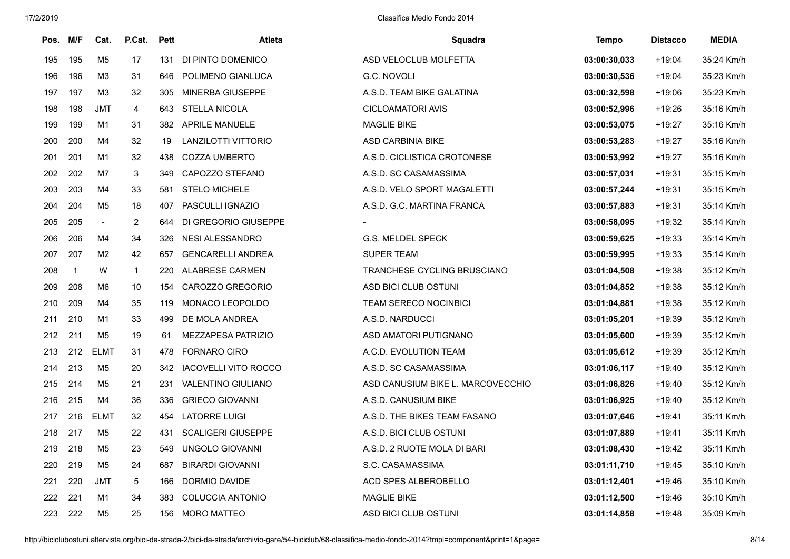| Pos. | M/F          | Cat.           | P.Cat.         | <b>Pett</b> | Atleta                    | Squadra                           | Tempo        | <b>Distacco</b> | <b>MEDIA</b> |
|------|--------------|----------------|----------------|-------------|---------------------------|-----------------------------------|--------------|-----------------|--------------|
| 195  | 195          | M5             | 17             | 131         | DI PINTO DOMENICO         | ASD VELOCLUB MOLFETTA             | 03:00:30,033 | $+19:04$        | 35:24 Km/h   |
| 196  | 196          | M3             | 31             | 646         | POLIMENO GIANLUCA         | G.C. NOVOLI                       | 03:00:30,536 | $+19:04$        | 35:23 Km/h   |
| 197  | 197          | ΜЗ             | 32             | 305         | <b>MINERBA GIUSEPPE</b>   | A.S.D. TEAM BIKE GALATINA         | 03:00:32,598 | $+19:06$        | 35:23 Km/h   |
| 198  | 198          | <b>JMT</b>     | $\overline{4}$ |             | 643 STELLA NICOLA         | CICLOAMATORI AVIS                 | 03:00:52,996 | +19:26          | 35:16 Km/h   |
| 199  | 199          | M1             | 31             | 382         | <b>APRILE MANUELE</b>     | <b>MAGLIE BIKE</b>                | 03:00:53,075 | $+19:27$        | 35:16 Km/h   |
| 200  | 200          | M4             | 32             | 19          | LANZILOTTI VITTORIO       | ASD CARBINIA BIKE                 | 03:00:53,283 | $+19:27$        | 35:16 Km/h   |
| 201  | 201          | M1             | 32             | 438         | <b>COZZA UMBERTO</b>      | A.S.D. CICLISTICA CROTONESE       | 03:00:53,992 | $+19:27$        | 35:16 Km/h   |
| 202  | 202          | M7             | 3              |             | 349 CAPOZZO STEFANO       | A.S.D. SC CASAMASSIMA             | 03:00:57,031 | $+19:31$        | 35:15 Km/h   |
| 203  | 203          | M4             | 33             | 581         | <b>STELO MICHELE</b>      | A.S.D. VELO SPORT MAGALETTI       | 03:00:57,244 | $+19:31$        | 35:15 Km/h   |
| 204  | 204          | M5             | 18             | 407         | PASCULLI IGNAZIO          | A.S.D. G.C. MARTINA FRANCA        | 03:00:57,883 | $+19:31$        | 35:14 Km/h   |
| 205  | 205          | $\blacksquare$ | $\overline{2}$ | 644         | DI GREGORIO GIUSEPPE      |                                   | 03:00:58,095 | $+19:32$        | 35:14 Km/h   |
| 206  | 206          | M4             | 34             |             | 326 NESI ALESSANDRO       | G.S. MELDEL SPECK                 | 03:00:59,625 | $+19:33$        | 35:14 Km/h   |
| 207  | 207          | M <sub>2</sub> | 42             | 657         | <b>GENCARELLI ANDREA</b>  | <b>SUPER TEAM</b>                 | 03:00:59,995 | $+19:33$        | 35:14 Km/h   |
| 208  | $\mathbf{1}$ | W              | $\mathbf{1}$   | 220         | <b>ALABRESE CARMEN</b>    | TRANCHESE CYCLING BRUSCIANO       | 03:01:04,508 | $+19:38$        | 35:12 Km/h   |
| 209  | 208          | M6             | 10             | 154         | CAROZZO GREGORIO          | ASD BICI CLUB OSTUNI              | 03:01:04,852 | +19:38          | 35:12 Km/h   |
| 210  | 209          | M4             | 35             | 119         | MONACO LEOPOLDO           | <b>TEAM SERECO NOCINBICI</b>      | 03:01:04,881 | $+19:38$        | 35:12 Km/h   |
| 211  | 210          | M1             | 33             | 499         | DE MOLA ANDREA            | A.S.D. NARDUCCI                   | 03:01:05,201 | $+19:39$        | 35:12 Km/h   |
| 212  | 211          | M5             | 19             | 61          | MEZZAPESA PATRIZIO        | ASD AMATORI PUTIGNANO             | 03:01:05,600 | $+19:39$        | 35:12 Km/h   |
| 213  | 212          | <b>ELMT</b>    | 31             | 478         | <b>FORNARO CIRO</b>       | A.C.D. EVOLUTION TEAM             | 03:01:05.612 | $+19:39$        | 35:12 Km/h   |
| 214  | 213          | M5             | 20             |             | 342 IACOVELLI VITO ROCCO  | A.S.D. SC CASAMASSIMA             | 03:01:06.117 | $+19:40$        | 35:12 Km/h   |
| 215  | 214          | M5             | 21             | 231         | VALENTINO GIULIANO        | ASD CANUSIUM BIKE L. MARCOVECCHIO | 03:01:06.826 | $+19:40$        | 35:12 Km/h   |
| 216  | 215          | M4             | 36             | 336         | <b>GRIECO GIOVANNI</b>    | A.S.D. CANUSIUM BIKE              | 03:01:06,925 | $+19:40$        | 35:12 Km/h   |
| 217  | 216          | <b>ELMT</b>    | 32             | 454         | <b>LATORRE LUIGI</b>      | A.S.D. THE BIKES TEAM FASANO      | 03:01:07,646 | $+19:41$        | 35:11 Km/h   |
| 218  | 217          | M <sub>5</sub> | 22             | 431         | <b>SCALIGERI GIUSEPPE</b> | A.S.D. BICI CLUB OSTUNI           | 03:01:07,889 | $+19:41$        | 35:11 Km/h   |
| 219  | 218          | M5             | 23             | 549         | UNGOLO GIOVANNI           | A.S.D. 2 RUOTE MOLA DI BARI       | 03:01:08,430 | $+19:42$        | 35:11 Km/h   |
| 220  | 219          | M5             | 24             | 687         | <b>BIRARDI GIOVANNI</b>   | S.C. CASAMASSIMA                  | 03:01:11,710 | $+19:45$        | 35:10 Km/h   |
| 221  | 220          | JMT            | 5              | 166         | DORMIO DAVIDE             | ACD SPES ALBEROBELLO              | 03:01:12,401 | $+19:46$        | 35:10 Km/h   |
| 222  | 221          | M1             | 34             | 383         | <b>COLUCCIA ANTONIO</b>   | MAGLIE BIKE                       | 03:01:12,500 | $+19:46$        | 35:10 Km/h   |
| 223  | 222          | M <sub>5</sub> | 25             | 156         | <b>MORO MATTEO</b>        | ASD BICI CLUB OSTUNI              | 03:01:14,858 | $+19:48$        | 35:09 Km/h   |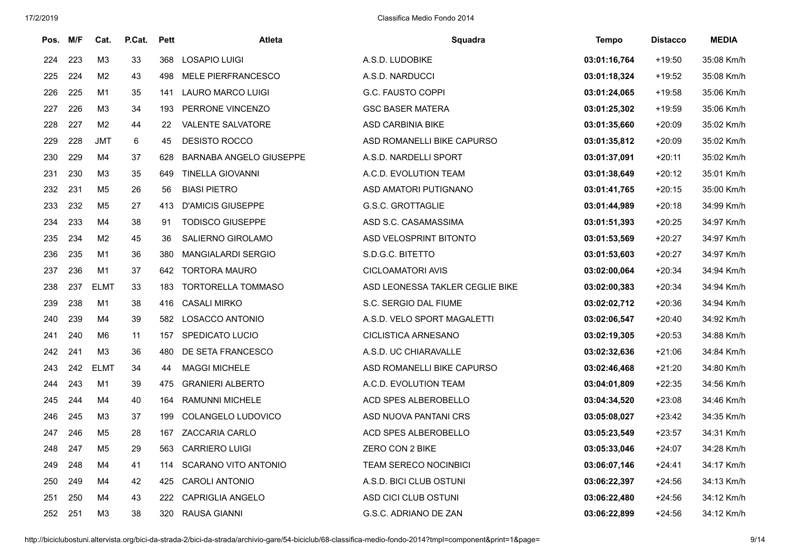| Pos. | M/F | Cat.           | P.Cat.  | <b>Pett</b> | Atleta                         | Squadra                         | Tempo        | <b>Distacco</b> | <b>MEDIA</b> |
|------|-----|----------------|---------|-------------|--------------------------------|---------------------------------|--------------|-----------------|--------------|
| 224  | 223 | M <sub>3</sub> | 33      | 368         | LOSAPIO LUIGI                  | A.S.D. LUDOBIKE                 | 03:01:16,764 | $+19:50$        | 35:08 Km/h   |
| 225  | 224 | M <sub>2</sub> | 43      | 498         | <b>MELE PIERFRANCESCO</b>      | A.S.D. NARDUCCI                 | 03:01:18,324 | $+19:52$        | 35:08 Km/h   |
| 226  | 225 | M1             | 35      | 141         | LAURO MARCO LUIGI              | <b>G.C. FAUSTO COPPI</b>        | 03:01:24,065 | $+19:58$        | 35:06 Km/h   |
| 227  | 226 | M <sub>3</sub> | 34      | 193         | PERRONE VINCENZO               | <b>GSC BASER MATERA</b>         | 03:01:25,302 | $+19:59$        | 35:06 Km/h   |
| 228  | 227 | M <sub>2</sub> | 44      | 22          | VALENTE SALVATORE              | ASD CARBINIA BIKE               | 03:01:35,660 | $+20:09$        | 35:02 Km/h   |
| 229  | 228 | <b>JMT</b>     | $\,6\,$ | 45          | DESISTO ROCCO                  | ASD ROMANELLI BIKE CAPURSO      | 03:01:35,812 | $+20:09$        | 35:02 Km/h   |
| 230  | 229 | M4             | 37      | 628         | <b>BARNABA ANGELO GIUSEPPE</b> | A.S.D. NARDELLI SPORT           | 03:01:37,091 | $+20:11$        | 35:02 Km/h   |
| 231  | 230 | M <sub>3</sub> | 35      | 649         | <b>TINELLA GIOVANNI</b>        | A.C.D. EVOLUTION TEAM           | 03:01:38,649 | $+20:12$        | 35:01 Km/h   |
| 232  | 231 | M <sub>5</sub> | 26      | 56          | <b>BIASI PIETRO</b>            | ASD AMATORI PUTIGNANO           | 03:01:41,765 | $+20:15$        | 35:00 Km/h   |
| 233  | 232 | M <sub>5</sub> | 27      | 413         | <b>D'AMICIS GIUSEPPE</b>       | <b>G.S.C. GROTTAGLIE</b>        | 03:01:44,989 | $+20:18$        | 34:99 Km/h   |
| 234  | 233 | M4             | 38      | 91          | <b>TODISCO GIUSEPPE</b>        | ASD S.C. CASAMASSIMA            | 03:01:51,393 | $+20:25$        | 34:97 Km/h   |
| 235  | 234 | M <sub>2</sub> | 45      | 36          | SALIERNO GIROLAMO              | ASD VELOSPRINT BITONTO          | 03:01:53,569 | $+20:27$        | 34:97 Km/h   |
| 236  | 235 | M <sub>1</sub> | 36      | 380         | <b>MANGIALARDI SERGIO</b>      | S.D.G.C. BITETTO                | 03:01:53,603 | $+20:27$        | 34:97 Km/h   |
| 237  | 236 | M <sub>1</sub> | 37      | 642         | <b>TORTORA MAURO</b>           | <b>CICLOAMATORI AVIS</b>        | 03:02:00,064 | $+20:34$        | 34:94 Km/h   |
| 238  | 237 | ELMT           | 33      | 183         | <b>TORTORELLA TOMMASO</b>      | ASD LEONESSA TAKLER CEGLIE BIKE | 03:02:00,383 | $+20:34$        | 34:94 Km/h   |
| 239  | 238 | M1             | 38      | 416         | <b>CASALI MIRKO</b>            | S.C. SERGIO DAL FIUME           | 03:02:02,712 | $+20:36$        | 34:94 Km/h   |
| 240  | 239 | M4             | 39      | 582         | LOSACCO ANTONIO                | A.S.D. VELO SPORT MAGALETTI     | 03:02:06,547 | $+20:40$        | 34:92 Km/h   |
| 241  | 240 | M6             | 11      | 157         | <b>SPEDICATO LUCIO</b>         | <b>CICLISTICA ARNESANO</b>      | 03:02:19,305 | $+20:53$        | 34:88 Km/h   |
| 242  | 241 | M <sub>3</sub> | 36      | 480         | DE SETA FRANCESCO              | A.S.D. UC CHIARAVALLE           | 03:02:32,636 | $+21:06$        | 34:84 Km/h   |
| 243  | 242 | <b>ELMT</b>    | 34      | 44          | <b>MAGGI MICHELE</b>           | ASD ROMANELLI BIKE CAPURSO      | 03:02:46,468 | $+21:20$        | 34:80 Km/h   |
| 244  | 243 | M1             | 39      | 475         | <b>GRANIERI ALBERTO</b>        | A.C.D. EVOLUTION TEAM           | 03:04:01.809 | $+22:35$        | 34:56 Km/h   |
| 245  | 244 | M4             | 40      | 164         | RAMUNNI MICHELE                | ACD SPES ALBEROBELLO            | 03:04:34,520 | $+23:08$        | 34:46 Km/h   |
| 246  | 245 | M <sub>3</sub> | 37      | 199         | COLANGELO LUDOVICO             | ASD NUOVA PANTANI CRS           | 03:05:08,027 | $+23:42$        | 34:35 Km/h   |
| 247  | 246 | M <sub>5</sub> | 28      | 167         | ZACCARIA CARLO                 | ACD SPES ALBEROBELLO            | 03:05:23,549 | $+23:57$        | 34:31 Km/h   |
| 248  | 247 | M5             | 29      | 563         | CARRIERO LUIGI                 | ZERO CON 2 BIKE                 | 03:05:33,046 | $+24:07$        | 34:28 Km/h   |
| 249  | 248 | M4             | 41      | 114         | SCARANO VITO ANTONIO           | TEAM SERECO NOCINBICI           | 03:06:07,146 | $+24:41$        | 34:17 Km/h   |
| 250  | 249 | M4             | 42      | 425         | <b>CAROLI ANTONIO</b>          | A.S.D. BICI CLUB OSTUNI         | 03:06:22,397 | $+24:56$        | 34:13 Km/h   |
| 251  | 250 | M4             | 43      | 222         | <b>CAPRIGLIA ANGELO</b>        | ASD CICI CLUB OSTUNI            | 03:06:22,480 | $+24:56$        | 34:12 Km/h   |
| 252  | 251 | M <sub>3</sub> | 38      | 320         | <b>RAUSA GIANNI</b>            | G.S.C. ADRIANO DE ZAN           | 03:06:22,899 | +24:56          | 34:12 Km/h   |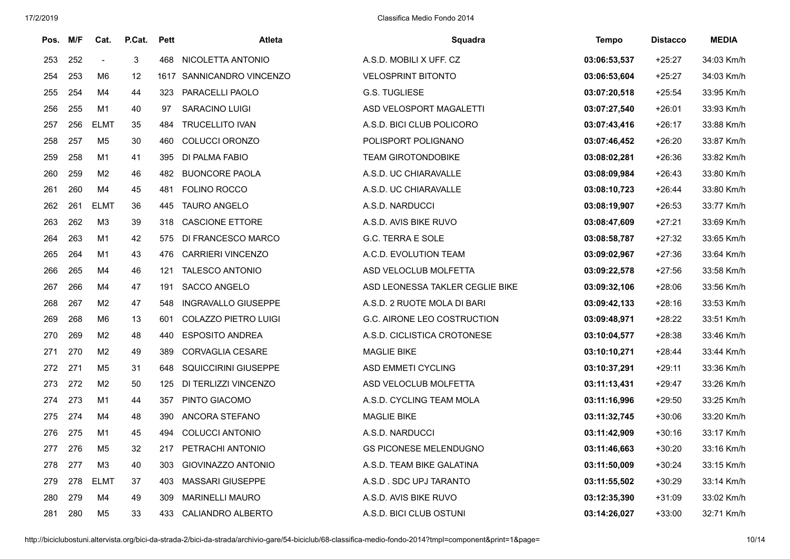| Pos. | M/F | Cat.           | P.Cat.      | <b>Pett</b> | <b>Atleta</b>               | <b>Squadra</b>                  | Tempo        | <b>Distacco</b> | <b>MEDIA</b> |
|------|-----|----------------|-------------|-------------|-----------------------------|---------------------------------|--------------|-----------------|--------------|
| 253  | 252 | $\sim$         | $\mathsf 3$ | 468         | NICOLETTA ANTONIO           | A.S.D. MOBILI X UFF. CZ         | 03:06:53,537 | $+25:27$        | 34:03 Km/h   |
| 254  | 253 | M6             | 12          | 1617        | SANNICANDRO VINCENZO        | <b>VELOSPRINT BITONTO</b>       | 03:06:53,604 | $+25:27$        | 34:03 Km/h   |
| 255  | 254 | M4             | 44          | 323         | PARACELLI PAOLO             | <b>G.S. TUGLIESE</b>            | 03:07:20,518 | $+25:54$        | 33:95 Km/h   |
| 256  | 255 | M1             | 40          | 97          | <b>SARACINO LUIGI</b>       | ASD VELOSPORT MAGALETTI         | 03:07:27,540 | $+26:01$        | 33:93 Km/h   |
| 257  | 256 | <b>ELMT</b>    | 35          | 484         | <b>TRUCELLITO IVAN</b>      | A.S.D. BICI CLUB POLICORO       | 03:07:43,416 | $+26:17$        | 33:88 Km/h   |
| 258  | 257 | M <sub>5</sub> | 30          | 460         | COLUCCI ORONZO              | POLISPORT POLIGNANO             | 03:07:46,452 | $+26:20$        | 33:87 Km/h   |
| 259  | 258 | M1             | 41          | 395         | DI PALMA FABIO              | <b>TEAM GIROTONDOBIKE</b>       | 03:08:02,281 | $+26:36$        | 33:82 Km/h   |
| 260  | 259 | M <sub>2</sub> | 46          | 482         | <b>BUONCORE PAOLA</b>       | A.S.D. UC CHIARAVALLE           | 03:08:09.984 | $+26:43$        | 33:80 Km/h   |
| 261  | 260 | M4             | 45          | 481         | <b>FOLINO ROCCO</b>         | A.S.D. UC CHIARAVALLE           | 03:08:10,723 | $+26:44$        | 33:80 Km/h   |
| 262  | 261 | <b>ELMT</b>    | 36          | 445         | <b>TAURO ANGELO</b>         | A.S.D. NARDUCCI                 | 03:08:19,907 | $+26:53$        | 33:77 Km/h   |
| 263  | 262 | M <sub>3</sub> | 39          | 318         | <b>CASCIONE ETTORE</b>      | A.S.D. AVIS BIKE RUVO           | 03:08:47,609 | $+27:21$        | 33:69 Km/h   |
| 264  | 263 | M1             | 42          | 575         | DI FRANCESCO MARCO          | G.C. TERRA E SOLE               | 03:08:58,787 | $+27:32$        | 33:65 Km/h   |
| 265  | 264 | M1             | 43          | 476         | <b>CARRIERI VINCENZO</b>    | A.C.D. EVOLUTION TEAM           | 03:09:02,967 | $+27:36$        | 33:64 Km/h   |
| 266  | 265 | M4             | 46          | 121         | <b>TALESCO ANTONIO</b>      | ASD VELOCLUB MOLFETTA           | 03:09:22,578 | $+27:56$        | 33:58 Km/h   |
| 267  | 266 | M4             | 47          | 191         | SACCO ANGELO                | ASD LEONESSA TAKLER CEGLIE BIKE | 03:09:32,106 | $+28:06$        | 33:56 Km/h   |
| 268  | 267 | M <sub>2</sub> | 47          | 548         | <b>INGRAVALLO GIUSEPPE</b>  | A.S.D. 2 RUOTE MOLA DI BARI     | 03:09:42,133 | $+28:16$        | 33:53 Km/h   |
| 269  | 268 | M <sub>6</sub> | 13          | 601         | <b>COLAZZO PIETRO LUIGI</b> | G.C. AIRONE LEO COSTRUCTION     | 03:09:48,971 | $+28:22$        | 33:51 Km/h   |
| 270  | 269 | M <sub>2</sub> | 48          | 440         | <b>ESPOSITO ANDREA</b>      | A.S.D. CICLISTICA CROTONESE     | 03:10:04,577 | $+28:38$        | 33:46 Km/h   |
| 271  | 270 | M <sub>2</sub> | 49          | 389         | <b>CORVAGLIA CESARE</b>     | <b>MAGLIE BIKE</b>              | 03:10:10,271 | $+28:44$        | 33:44 Km/h   |
| 272  | 271 | M5             | 31          | 648         | <b>SQUICCIRINI GIUSEPPE</b> | <b>ASD EMMETI CYCLING</b>       | 03:10:37,291 | $+29:11$        | 33:36 Km/h   |
| 273  | 272 | M <sub>2</sub> | 50          | 125         | DI TERLIZZI VINCENZO        | ASD VELOCLUB MOLFETTA           | 03:11:13,431 | $+29:47$        | 33:26 Km/h   |
| 274  | 273 | M1             | 44          | 357         | PINTO GIACOMO               | A.S.D. CYCLING TEAM MOLA        | 03:11:16,996 | $+29:50$        | 33:25 Km/h   |
| 275  | 274 | M4             | 48          | 390         | ANCORA STEFANO              | <b>MAGLIE BIKE</b>              | 03:11:32,745 | $+30:06$        | 33:20 Km/h   |
| 276  | 275 | M1             | 45          | 494         | <b>COLUCCI ANTONIO</b>      | A.S.D. NARDUCCI                 | 03:11:42,909 | $+30:16$        | 33:17 Km/h   |
| 277  | 276 | M <sub>5</sub> | 32          | 217         | PETRACHI ANTONIO            | <b>GS PICONESE MELENDUGNO</b>   | 03:11:46,663 | $+30:20$        | 33:16 Km/h   |
| 278  | 277 | M <sub>3</sub> | 40          | 303         | <b>GIOVINAZZO ANTONIO</b>   | A.S.D. TEAM BIKE GALATINA       | 03:11:50,009 | $+30:24$        | 33:15 Km/h   |
| 279  | 278 | <b>ELMT</b>    | 37          | 403         | MASSARI GIUSEPPE            | A.S.D. SDC UPJ TARANTO          | 03:11:55,502 | $+30:29$        | 33:14 Km/h   |
| 280  | 279 | M4             | 49          | 309         | <b>MARINELLI MAURO</b>      | A.S.D. AVIS BIKE RUVO           | 03:12:35,390 | $+31:09$        | 33:02 Km/h   |
| 281  | 280 | M <sub>5</sub> | 33          | 433         | CALIANDRO ALBERTO           | A.S.D. BICI CLUB OSTUNI         | 03:14:26.027 | $+33:00$        | 32:71 Km/h   |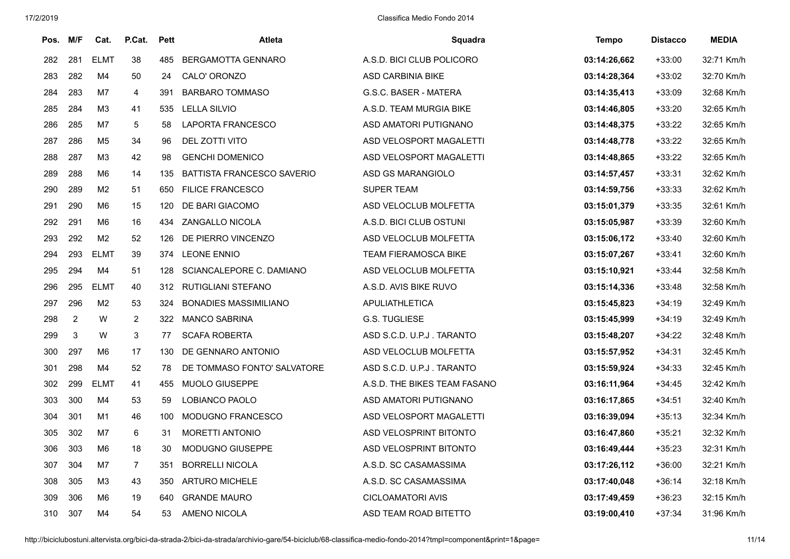| Pos. | M/F            | Cat.           | P.Cat.         | Pett | <b>Atleta</b>                     | Squadra                      | Tempo        | <b>Distacco</b> | <b>MEDIA</b> |
|------|----------------|----------------|----------------|------|-----------------------------------|------------------------------|--------------|-----------------|--------------|
| 282  | 281            | <b>ELMT</b>    | 38             | 485  | <b>BERGAMOTTA GENNARO</b>         | A.S.D. BICI CLUB POLICORO    | 03:14:26,662 | $+33:00$        | 32:71 Km/h   |
| 283  | 282            | M4             | 50             | 24   | CALO' ORONZO                      | ASD CARBINIA BIKE            | 03:14:28,364 | $+33:02$        | 32:70 Km/h   |
| 284  | 283            | M7             | 4              | 391  | <b>BARBARO TOMMASO</b>            | G.S.C. BASER - MATERA        | 03:14:35,413 | $+33:09$        | 32:68 Km/h   |
| 285  | 284            | M <sub>3</sub> | 41             | 535  | <b>LELLA SILVIO</b>               | A.S.D. TEAM MURGIA BIKE      | 03:14:46,805 | $+33:20$        | 32:65 Km/h   |
| 286  | 285            | M7             | 5              | 58   | <b>LAPORTA FRANCESCO</b>          | ASD AMATORI PUTIGNANO        | 03:14:48,375 | $+33:22$        | 32:65 Km/h   |
| 287  | 286            | M <sub>5</sub> | 34             | 96   | DEL ZOTTI VITO                    | ASD VELOSPORT MAGALETTI      | 03:14:48,778 | $+33:22$        | 32:65 Km/h   |
| 288  | 287            | M3             | 42             | 98   | <b>GENCHI DOMENICO</b>            | ASD VELOSPORT MAGALETTI      | 03:14:48,865 | $+33:22$        | 32:65 Km/h   |
| 289  | 288            | M6             | 14             | 135  | <b>BATTISTA FRANCESCO SAVERIO</b> | <b>ASD GS MARANGIOLO</b>     | 03:14:57,457 | $+33:31$        | 32:62 Km/h   |
| 290  | 289            | M2             | 51             | 650  | <b>FILICE FRANCESCO</b>           | <b>SUPER TEAM</b>            | 03:14:59,756 | $+33:33$        | 32:62 Km/h   |
| 291  | 290            | M6             | 15             | 120  | DE BARI GIACOMO                   | ASD VELOCLUB MOLFETTA        | 03:15:01,379 | $+33:35$        | 32:61 Km/h   |
| 292  | 291            | M <sub>6</sub> | 16             | 434  | <b>ZANGALLO NICOLA</b>            | A.S.D. BICI CLUB OSTUNI      | 03:15:05.987 | $+33:39$        | 32:60 Km/h   |
| 293  | 292            | M <sub>2</sub> | 52             | 126  | DE PIERRO VINCENZO                | ASD VELOCLUB MOLFETTA        | 03:15:06,172 | $+33:40$        | 32:60 Km/h   |
| 294  | 293            | <b>ELMT</b>    | 39             | 374  | <b>LEONE ENNIO</b>                | <b>TEAM FIERAMOSCA BIKE</b>  | 03:15:07,267 | $+33:41$        | 32:60 Km/h   |
| 295  | 294            | M4             | 51             | 128  | SCIANCALEPORE C. DAMIANO          | ASD VELOCLUB MOLFETTA        | 03:15:10,921 | $+33:44$        | 32:58 Km/h   |
| 296  | 295            | <b>ELMT</b>    | 40             | 312  | <b>RUTIGLIANI STEFANO</b>         | A.S.D. AVIS BIKE RUVO        | 03:15:14,336 | $+33:48$        | 32:58 Km/h   |
| 297  | 296            | M <sub>2</sub> | 53             | 324  | <b>BONADIES MASSIMILIANO</b>      | <b>APULIATHLETICA</b>        | 03:15:45,823 | $+34:19$        | 32:49 Km/h   |
| 298  | $\overline{2}$ | W              | $\overline{2}$ | 322  | <b>MANCO SABRINA</b>              | <b>G.S. TUGLIESE</b>         | 03:15:45.999 | $+34:19$        | 32:49 Km/h   |
| 299  | 3              | W              | 3              | 77   | <b>SCAFA ROBERTA</b>              | ASD S.C.D. U.P.J. TARANTO    | 03:15:48,207 | $+34:22$        | 32:48 Km/h   |
| 300  | 297            | M <sub>6</sub> | 17             | 130  | DE GENNARO ANTONIO                | ASD VELOCLUB MOLFETTA        | 03:15:57,952 | $+34:31$        | 32:45 Km/h   |
| 301  | 298            | M4             | 52             | 78   | DE TOMMASO FONTO' SALVATORE       | ASD S.C.D. U.P.J. TARANTO    | 03:15:59,924 | $+34:33$        | 32:45 Km/h   |
| 302  | 299            | <b>ELMT</b>    | 41             | 455  | <b>MUOLO GIUSEPPE</b>             | A.S.D. THE BIKES TEAM FASANO | 03:16:11,964 | $+34:45$        | 32:42 Km/h   |
| 303  | 300            | M4             | 53             | 59   | LOBIANCO PAOLO                    | ASD AMATORI PUTIGNANO        | 03:16:17,865 | $+34:51$        | 32:40 Km/h   |
| 304  | 301            | M1             | 46             | 100  | <b>MODUGNO FRANCESCO</b>          | ASD VELOSPORT MAGALETTI      | 03:16:39.094 | $+35:13$        | 32:34 Km/h   |
| 305  | 302            | M7             | 6              | 31   | <b>MORETTI ANTONIO</b>            | ASD VELOSPRINT BITONTO       | 03:16:47,860 | $+35:21$        | 32:32 Km/h   |
| 306  | 303            | M6             | 18             | 30   | <b>MODUGNO GIUSEPPE</b>           | ASD VELOSPRINT BITONTO       | 03:16:49,444 | $+35:23$        | 32:31 Km/h   |
| 307  | 304            | M7             | $\overline{7}$ | 351  | <b>BORRELLI NICOLA</b>            | A.S.D. SC CASAMASSIMA        | 03:17:26,112 | $+36:00$        | 32:21 Km/h   |
| 308  | 305            | M3             | 43             | 350  | <b>ARTURO MICHELE</b>             | A.S.D. SC CASAMASSIMA        | 03:17:40,048 | $+36:14$        | 32:18 Km/h   |
| 309  | 306            | M6             | 19             | 640  | <b>GRANDE MAURO</b>               | <b>CICLOAMATORI AVIS</b>     | 03:17:49,459 | $+36:23$        | 32:15 Km/h   |
| 310  | 307            | M4             | 54             | 53   | AMENO NICOLA                      | ASD TEAM ROAD BITETTO        | 03:19:00,410 | $+37:34$        | 31:96 Km/h   |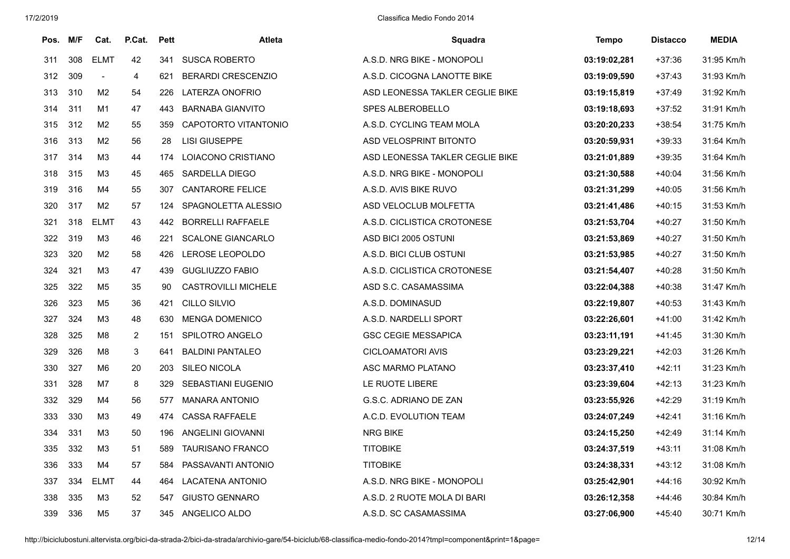| Pos. | M/F | Cat.           | P.Cat.         | <b>Pett</b> | Atleta                     | Squadra                         | Tempo        | <b>Distacco</b> | <b>MEDIA</b> |
|------|-----|----------------|----------------|-------------|----------------------------|---------------------------------|--------------|-----------------|--------------|
| 311  | 308 | <b>ELMT</b>    | 42             | 341         | <b>SUSCA ROBERTO</b>       | A.S.D. NRG BIKE - MONOPOLI      | 03:19:02,281 | $+37:36$        | 31:95 Km/h   |
| 312  | 309 |                | 4              | 621         | <b>BERARDI CRESCENZIO</b>  | A.S.D. CICOGNA LANOTTE BIKE     | 03:19:09,590 | $+37:43$        | 31:93 Km/h   |
| 313  | 310 | M2             | 54             | 226         | LATERZA ONOFRIO            | ASD LEONESSA TAKLER CEGLIE BIKE | 03:19:15,819 | $+37:49$        | 31:92 Km/h   |
| 314  | 311 | M1             | 47             | 443         | <b>BARNABA GIANVITO</b>    | <b>SPES ALBEROBELLO</b>         | 03:19:18,693 | $+37:52$        | 31:91 Km/h   |
| 315  | 312 | M <sub>2</sub> | 55             | 359         | CAPOTORTO VITANTONIO       | A.S.D. CYCLING TEAM MOLA        | 03:20:20,233 | $+38:54$        | 31:75 Km/h   |
| 316  | 313 | M <sub>2</sub> | 56             | 28          | LISI GIUSEPPE              | ASD VELOSPRINT BITONTO          | 03:20:59,931 | $+39:33$        | 31:64 Km/h   |
| 317  | 314 | M <sub>3</sub> | 44             | 174         | LOIACONO CRISTIANO         | ASD LEONESSA TAKLER CEGLIE BIKE | 03:21:01.889 | $+39:35$        | 31:64 Km/h   |
| 318  | 315 | M <sub>3</sub> | 45             | 465         | <b>SARDELLA DIEGO</b>      | A.S.D. NRG BIKE - MONOPOLI      | 03:21:30,588 | $+40:04$        | 31:56 Km/h   |
| 319  | 316 | M4             | 55             | 307         | <b>CANTARORE FELICE</b>    | A.S.D. AVIS BIKE RUVO           | 03:21:31.299 | $+40:05$        | 31:56 Km/h   |
| 320  | 317 | M <sub>2</sub> | 57             | 124         | SPAGNOLETTA ALESSIO        | ASD VELOCLUB MOLFETTA           | 03:21:41,486 | $+40:15$        | 31:53 Km/h   |
| 321  | 318 | <b>ELMT</b>    | 43             | 442         | <b>BORRELLI RAFFAELE</b>   | A.S.D. CICLISTICA CROTONESE     | 03:21:53,704 | $+40:27$        | 31:50 Km/h   |
| 322  | 319 | M3             | 46             | 221         | <b>SCALONE GIANCARLO</b>   | ASD BICI 2005 OSTUNI            | 03:21:53,869 | $+40:27$        | 31:50 Km/h   |
| 323  | 320 | M <sub>2</sub> | 58             | 426         | LEROSE LEOPOLDO            | A.S.D. BICI CLUB OSTUNI         | 03:21:53,985 | $+40:27$        | 31:50 Km/h   |
| 324  | 321 | M <sub>3</sub> | 47             | 439         | <b>GUGLIUZZO FABIO</b>     | A.S.D. CICLISTICA CROTONESE     | 03:21:54,407 | $+40:28$        | 31:50 Km/h   |
| 325  | 322 | M <sub>5</sub> | 35             | 90          | <b>CASTROVILLI MICHELE</b> | ASD S.C. CASAMASSIMA            | 03:22:04,388 | $+40:38$        | 31:47 Km/h   |
| 326  | 323 | M <sub>5</sub> | 36             | 421         | CILLO SILVIO               | A.S.D. DOMINASUD                | 03:22:19,807 | $+40:53$        | 31:43 Km/h   |
| 327  | 324 | M <sub>3</sub> | 48             | 630         | <b>MENGA DOMENICO</b>      | A.S.D. NARDELLI SPORT           | 03:22:26,601 | $+41:00$        | 31:42 Km/h   |
| 328  | 325 | M <sub>8</sub> | $\overline{2}$ | 151         | SPILOTRO ANGELO            | <b>GSC CEGIE MESSAPICA</b>      | 03:23:11,191 | $+41:45$        | 31:30 Km/h   |
| 329  | 326 | M <sub>8</sub> | $\mathbf{3}$   | 641         | <b>BALDINI PANTALEO</b>    | CICLOAMATORI AVIS               | 03:23:29,221 | $+42:03$        | 31:26 Km/h   |
| 330  | 327 | M <sub>6</sub> | 20             | 203         | <b>SILEO NICOLA</b>        | ASC MARMO PLATANO               | 03:23:37,410 | $+42:11$        | 31:23 Km/h   |
| 331  | 328 | M7             | 8              | 329         | SEBASTIANI EUGENIO         | LE RUOTE LIBERE                 | 03:23:39,604 | $+42:13$        | 31:23 Km/h   |
| 332  | 329 | M4             | 56             | 577         | <b>MANARA ANTONIO</b>      | G.S.C. ADRIANO DE ZAN           | 03:23:55,926 | $+42:29$        | 31:19 Km/h   |
| 333  | 330 | M <sub>3</sub> | 49             | 474         | <b>CASSA RAFFAELE</b>      | A.C.D. EVOLUTION TEAM           | 03:24:07,249 | $+42:41$        | 31:16 Km/h   |
| 334  | 331 | M <sub>3</sub> | 50             | 196         | ANGELINI GIOVANNI          | <b>NRG BIKE</b>                 | 03:24:15,250 | $+42:49$        | 31:14 Km/h   |
| 335  | 332 | M <sub>3</sub> | 51             | 589         | <b>TAURISANO FRANCO</b>    | <b>TITOBIKE</b>                 | 03:24:37,519 | $+43:11$        | 31:08 Km/h   |
| 336  | 333 | M4             | 57             | 584         | PASSAVANTI ANTONIO         | <b>TITOBIKE</b>                 | 03:24:38,331 | $+43:12$        | 31:08 Km/h   |
| 337  | 334 | <b>ELMT</b>    | 44             | 464         | <b>LACATENA ANTONIO</b>    | A.S.D. NRG BIKE - MONOPOLI      | 03:25:42,901 | $+44:16$        | 30:92 Km/h   |
| 338  | 335 | M <sub>3</sub> | 52             | 547         | <b>GIUSTO GENNARO</b>      | A.S.D. 2 RUOTE MOLA DI BARI     | 03:26:12,358 | +44:46          | 30:84 Km/h   |
| 339  | 336 | M <sub>5</sub> | 37             | 345         | ANGELICO ALDO              | A.S.D. SC CASAMASSIMA           | 03:27:06,900 | +45:40          | 30:71 Km/h   |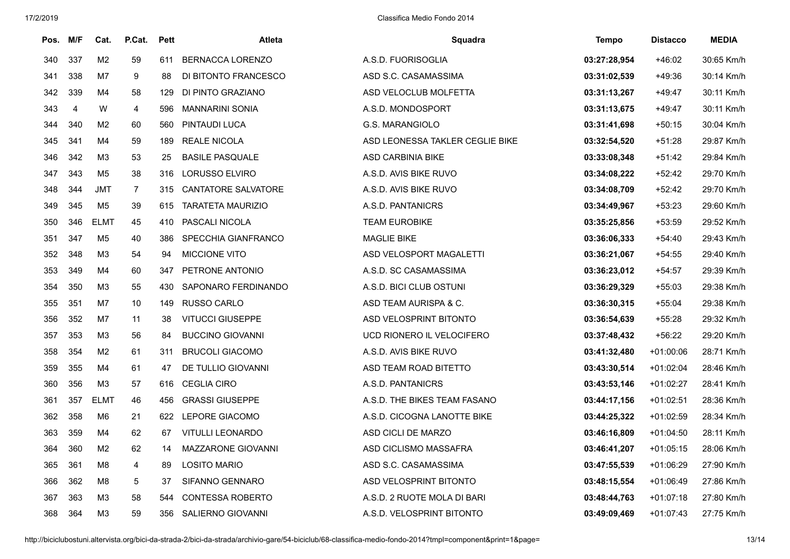| Pos. | M/F            | Cat.           | P.Cat.         | Pett | <b>Atleta</b>              | Squadra                         | Tempo        | <b>Distacco</b> | <b>MEDIA</b> |
|------|----------------|----------------|----------------|------|----------------------------|---------------------------------|--------------|-----------------|--------------|
| 340  | 337            | M <sub>2</sub> | 59             | 611  | <b>BERNACCA LORENZO</b>    | A.S.D. FUORISOGLIA              | 03:27:28,954 | $+46:02$        | 30:65 Km/h   |
| 341  | 338            | M7             | 9              | 88   | DI BITONTO FRANCESCO       | ASD S.C. CASAMASSIMA            | 03:31:02,539 | $+49:36$        | 30:14 Km/h   |
| 342  | 339            | M4             | 58             | 129  | DI PINTO GRAZIANO          | ASD VELOCLUB MOLFETTA           | 03:31:13,267 | $+49:47$        | 30:11 Km/h   |
| 343  | $\overline{4}$ | W              | 4              | 596  | <b>MANNARINI SONIA</b>     | A.S.D. MONDOSPORT               | 03:31:13,675 | $+49:47$        | 30:11 Km/h   |
| 344  | 340            | M2             | 60             | 560  | PINTAUDI LUCA              | G.S. MARANGIOLO                 | 03:31:41,698 | $+50:15$        | 30:04 Km/h   |
| 345  | 341            | M4             | 59             | 189  | <b>REALE NICOLA</b>        | ASD LEONESSA TAKLER CEGLIE BIKE | 03:32:54,520 | $+51:28$        | 29:87 Km/h   |
| 346  | 342            | M <sub>3</sub> | 53             | 25   | <b>BASILE PASQUALE</b>     | <b>ASD CARBINIA BIKE</b>        | 03:33:08.348 | $+51:42$        | 29:84 Km/h   |
| 347  | 343            | M <sub>5</sub> | 38             | 316  | <b>LORUSSO ELVIRO</b>      | A.S.D. AVIS BIKE RUVO           | 03:34:08,222 | $+52:42$        | 29:70 Km/h   |
| 348  | 344            | <b>JMT</b>     | $\overline{7}$ | 315  | <b>CANTATORE SALVATORE</b> | A.S.D. AVIS BIKE RUVO           | 03:34:08,709 | $+52:42$        | 29:70 Km/h   |
| 349  | 345            | M <sub>5</sub> | 39             | 615  | <b>TARATETA MAURIZIO</b>   | A.S.D. PANTANICRS               | 03:34:49,967 | $+53:23$        | 29:60 Km/h   |
| 350  | 346            | <b>ELMT</b>    | 45             | 410  | PASCALI NICOLA             | <b>TEAM EUROBIKE</b>            | 03:35:25,856 | $+53:59$        | 29:52 Km/h   |
| 351  | 347            | M <sub>5</sub> | 40             | 386  | SPECCHIA GIANFRANCO        | <b>MAGLIE BIKE</b>              | 03:36:06,333 | $+54:40$        | 29:43 Km/h   |
| 352  | 348            | M <sub>3</sub> | 54             | 94   | <b>MICCIONE VITO</b>       | ASD VELOSPORT MAGALETTI         | 03:36:21,067 | +54:55          | 29:40 Km/h   |
| 353  | 349            | M4             | 60             | 347  | PETRONE ANTONIO            | A.S.D. SC CASAMASSIMA           | 03:36:23,012 | $+54:57$        | 29:39 Km/h   |
| 354  | 350            | M <sub>3</sub> | 55             | 430  | SAPONARO FERDINANDO        | A.S.D. BICI CLUB OSTUNI         | 03:36:29,329 | $+55:03$        | 29:38 Km/h   |
| 355  | 351            | M7             | 10             | 149  | <b>RUSSO CARLO</b>         | ASD TEAM AURISPA & C.           | 03:36:30,315 | $+55:04$        | 29:38 Km/h   |
| 356  | 352            | M7             | 11             | 38   | <b>VITUCCI GIUSEPPE</b>    | ASD VELOSPRINT BITONTO          | 03:36:54,639 | $+55:28$        | 29:32 Km/h   |
| 357  | 353            | M <sub>3</sub> | 56             | 84   | <b>BUCCINO GIOVANNI</b>    | UCD RIONERO IL VELOCIFERO       | 03:37:48,432 | $+56:22$        | 29:20 Km/h   |
| 358  | 354            | M <sub>2</sub> | 61             | 311  | <b>BRUCOLI GIACOMO</b>     | A.S.D. AVIS BIKE RUVO           | 03:41:32,480 | $+01:00:06$     | 28:71 Km/h   |
| 359  | 355            | M4             | 61             | 47   | DE TULLIO GIOVANNI         | ASD TEAM ROAD BITETTO           | 03:43:30,514 | $+01:02:04$     | 28:46 Km/h   |
| 360  | 356            | M <sub>3</sub> | 57             | 616  | <b>CEGLIA CIRO</b>         | A.S.D. PANTANICRS               | 03:43:53,146 | $+01:02:27$     | 28:41 Km/h   |
| 361  | 357            | <b>ELMT</b>    | 46             | 456  | <b>GRASSI GIUSEPPE</b>     | A.S.D. THE BIKES TEAM FASANO    | 03:44:17,156 | $+01:02:51$     | 28:36 Km/h   |
| 362  | 358            | M6             | 21             | 622  | LEPORE GIACOMO             | A.S.D. CICOGNA LANOTTE BIKE     | 03:44:25,322 | $+01:02:59$     | 28:34 Km/h   |
| 363  | 359            | M4             | 62             | 67   | <b>VITULLI LEONARDO</b>    | ASD CICLI DE MARZO              | 03:46:16,809 | $+01:04:50$     | 28:11 Km/h   |
| 364  | 360            | M <sub>2</sub> | 62             | 14   | MAZZARONE GIOVANNI         | ASD CICLISMO MASSAFRA           | 03:46:41,207 | $+01:05:15$     | 28:06 Km/h   |
| 365  | 361            | M8             | 4              | 89   | <b>LOSITO MARIO</b>        | ASD S.C. CASAMASSIMA            | 03:47:55,539 | $+01:06:29$     | 27:90 Km/h   |
| 366  | 362            | M8             | $\,$ 5 $\,$    | 37   | SIFANNO GENNARO            | ASD VELOSPRINT BITONTO          | 03:48:15,554 | $+01:06:49$     | 27:86 Km/h   |
| 367  | 363            | M <sub>3</sub> | 58             | 544  | <b>CONTESSA ROBERTO</b>    | A.S.D. 2 RUOTE MOLA DI BARI     | 03:48:44,763 | $+01:07:18$     | 27:80 Km/h   |
| 368  | 364            | M <sub>3</sub> | 59             | 356  | SALIERNO GIOVANNI          | A.S.D. VELOSPRINT BITONTO       | 03:49:09,469 | $+01:07:43$     | 27:75 Km/h   |